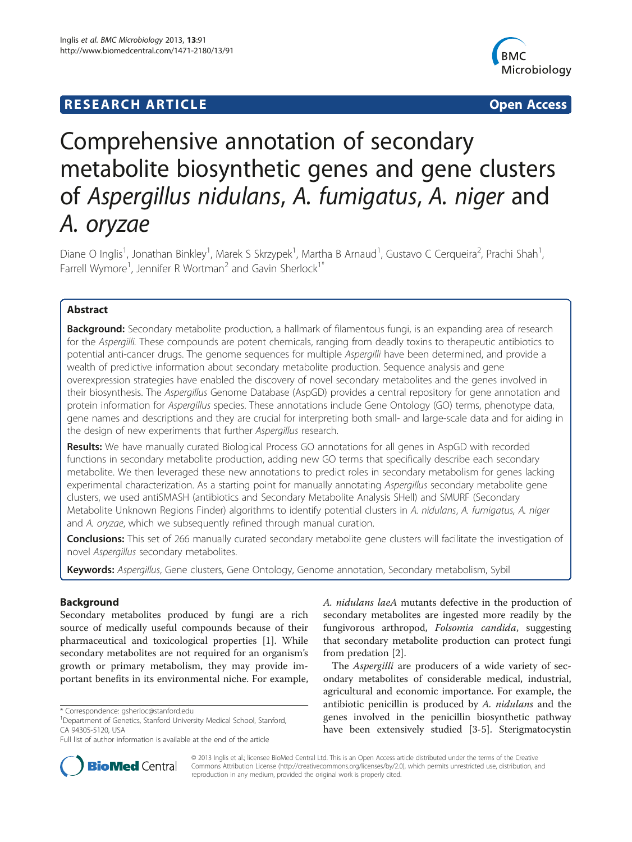# **RESEARCH ARTICLE Example 2014 12:30 The SEAR CHA RESEARCH ARTICLE**



# Comprehensive annotation of secondary metabolite biosynthetic genes and gene clusters of Aspergillus nidulans, A. fumigatus, A. niger and A. oryzae

Diane O Inglis<sup>1</sup>, Jonathan Binkley<sup>1</sup>, Marek S Skrzypek<sup>1</sup>, Martha B Arnaud<sup>1</sup>, Gustavo C Cerqueira<sup>2</sup>, Prachi Shah<sup>1</sup> , Farrell Wymore<sup>1</sup>, Jennifer R Wortman<sup>2</sup> and Gavin Sherlock<sup>1\*</sup>

# Abstract

Background: Secondary metabolite production, a hallmark of filamentous fungi, is an expanding area of research for the Aspergilli. These compounds are potent chemicals, ranging from deadly toxins to therapeutic antibiotics to potential anti-cancer drugs. The genome sequences for multiple Aspergilli have been determined, and provide a wealth of predictive information about secondary metabolite production. Sequence analysis and gene overexpression strategies have enabled the discovery of novel secondary metabolites and the genes involved in their biosynthesis. The Aspergillus Genome Database (AspGD) provides a central repository for gene annotation and protein information for Aspergillus species. These annotations include Gene Ontology (GO) terms, phenotype data, gene names and descriptions and they are crucial for interpreting both small- and large-scale data and for aiding in the design of new experiments that further Aspergillus research.

Results: We have manually curated Biological Process GO annotations for all genes in AspGD with recorded functions in secondary metabolite production, adding new GO terms that specifically describe each secondary metabolite. We then leveraged these new annotations to predict roles in secondary metabolism for genes lacking experimental characterization. As a starting point for manually annotating Aspergillus secondary metabolite gene clusters, we used antiSMASH (antibiotics and Secondary Metabolite Analysis SHell) and SMURF (Secondary Metabolite Unknown Regions Finder) algorithms to identify potential clusters in A. nidulans, A. fumigatus, A. niger and A. oryzae, which we subsequently refined through manual curation.

Conclusions: This set of 266 manually curated secondary metabolite gene clusters will facilitate the investigation of novel Aspergillus secondary metabolites.

Keywords: Aspergillus, Gene clusters, Gene Ontology, Genome annotation, Secondary metabolism, Sybil

# Background

Secondary metabolites produced by fungi are a rich source of medically useful compounds because of their pharmaceutical and toxicological properties [\[1](#page-21-0)]. While secondary metabolites are not required for an organism's growth or primary metabolism, they may provide important benefits in its environmental niche. For example,

A. nidulans laeA mutants defective in the production of secondary metabolites are ingested more readily by the fungivorous arthropod, Folsomia candida, suggesting that secondary metabolite production can protect fungi from predation [[2\]](#page-21-0).

The Aspergilli are producers of a wide variety of secondary metabolites of considerable medical, industrial, agricultural and economic importance. For example, the antibiotic penicillin is produced by A. nidulans and the genes involved in the penicillin biosynthetic pathway have been extensively studied [\[3](#page-21-0)-[5\]](#page-21-0). Sterigmatocystin



© 2013 Inglis et al.; licensee BioMed Central Ltd. This is an Open Access article distributed under the terms of the Creative Commons Attribution License [\(http://creativecommons.org/licenses/by/2.0\)](http://creativecommons.org/licenses/by/2.0), which permits unrestricted use, distribution, and reproduction in any medium, provided the original work is properly cited.

<sup>\*</sup> Correspondence: [gsherloc@stanford.edu](mailto:gsherloc@stanford.edu) <sup>1</sup>

<sup>&</sup>lt;sup>1</sup>Department of Genetics, Stanford University Medical School, Stanford, CA 94305-5120, USA

Full list of author information is available at the end of the article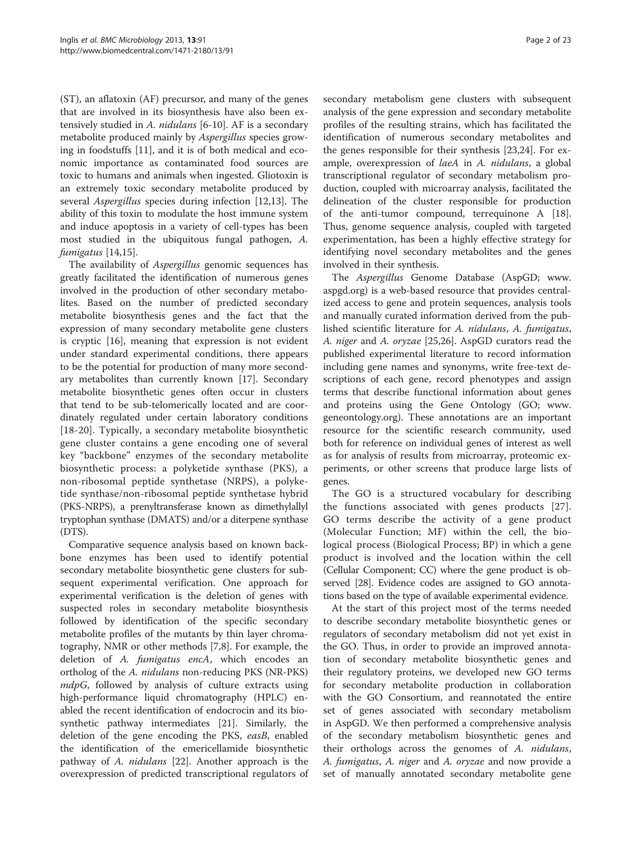(ST), an aflatoxin (AF) precursor, and many of the genes that are involved in its biosynthesis have also been extensively studied in A. nidulans [[6](#page-21-0)-[10\]](#page-21-0). AF is a secondary metabolite produced mainly by Aspergillus species growing in foodstuffs [[11](#page-21-0)], and it is of both medical and economic importance as contaminated food sources are toxic to humans and animals when ingested. Gliotoxin is an extremely toxic secondary metabolite produced by several Aspergillus species during infection [\[12,13](#page-21-0)]. The ability of this toxin to modulate the host immune system and induce apoptosis in a variety of cell-types has been most studied in the ubiquitous fungal pathogen, A. fumigatus [[14,15\]](#page-21-0).

The availability of *Aspergillus* genomic sequences has greatly facilitated the identification of numerous genes involved in the production of other secondary metabolites. Based on the number of predicted secondary metabolite biosynthesis genes and the fact that the expression of many secondary metabolite gene clusters is cryptic [\[16](#page-21-0)], meaning that expression is not evident under standard experimental conditions, there appears to be the potential for production of many more secondary metabolites than currently known [\[17\]](#page-21-0). Secondary metabolite biosynthetic genes often occur in clusters that tend to be sub-telomerically located and are coordinately regulated under certain laboratory conditions [[18](#page-21-0)-[20\]](#page-21-0). Typically, a secondary metabolite biosynthetic gene cluster contains a gene encoding one of several key "backbone" enzymes of the secondary metabolite biosynthetic process: a polyketide synthase (PKS), a non-ribosomal peptide synthetase (NRPS), a polyketide synthase/non-ribosomal peptide synthetase hybrid (PKS-NRPS), a prenyltransferase known as dimethylallyl tryptophan synthase (DMATS) and/or a diterpene synthase (DTS).

Comparative sequence analysis based on known backbone enzymes has been used to identify potential secondary metabolite biosynthetic gene clusters for subsequent experimental verification. One approach for experimental verification is the deletion of genes with suspected roles in secondary metabolite biosynthesis followed by identification of the specific secondary metabolite profiles of the mutants by thin layer chromatography, NMR or other methods [\[7,8](#page-21-0)]. For example, the deletion of A. fumigatus encA, which encodes an ortholog of the A. nidulans non-reducing PKS (NR-PKS) mdpG, followed by analysis of culture extracts using high-performance liquid chromatography (HPLC) enabled the recent identification of endocrocin and its biosynthetic pathway intermediates [[21\]](#page-21-0). Similarly, the deletion of the gene encoding the PKS, easB, enabled the identification of the emericellamide biosynthetic pathway of A. *nidulans* [\[22\]](#page-21-0). Another approach is the overexpression of predicted transcriptional regulators of

secondary metabolism gene clusters with subsequent analysis of the gene expression and secondary metabolite profiles of the resulting strains, which has facilitated the identification of numerous secondary metabolites and the genes responsible for their synthesis [[23,](#page-21-0)[24\]](#page-22-0). For example, overexpression of *laeA* in *A. nidulans*, a global transcriptional regulator of secondary metabolism production, coupled with microarray analysis, facilitated the delineation of the cluster responsible for production of the anti-tumor compound, terrequinone A [\[18](#page-21-0)]. Thus, genome sequence analysis, coupled with targeted experimentation, has been a highly effective strategy for identifying novel secondary metabolites and the genes involved in their synthesis.

The Aspergillus Genome Database (AspGD; [www.](http://www.aspgd.org) [aspgd.org\)](http://www.aspgd.org) is a web-based resource that provides centralized access to gene and protein sequences, analysis tools and manually curated information derived from the published scientific literature for A. nidulans, A. fumigatus, A. niger and A. oryzae [\[25,26](#page-22-0)]. AspGD curators read the published experimental literature to record information including gene names and synonyms, write free-text descriptions of each gene, record phenotypes and assign terms that describe functional information about genes and proteins using the Gene Ontology (GO; [www.](http://www.geneontology.org) [geneontology.org\)](http://www.geneontology.org). These annotations are an important resource for the scientific research community, used both for reference on individual genes of interest as well as for analysis of results from microarray, proteomic experiments, or other screens that produce large lists of genes.

The GO is a structured vocabulary for describing the functions associated with genes products [[27](#page-22-0)]. GO terms describe the activity of a gene product (Molecular Function; MF) within the cell, the biological process (Biological Process; BP) in which a gene product is involved and the location within the cell (Cellular Component; CC) where the gene product is observed [[28](#page-22-0)]. Evidence codes are assigned to GO annotations based on the type of available experimental evidence.

At the start of this project most of the terms needed to describe secondary metabolite biosynthetic genes or regulators of secondary metabolism did not yet exist in the GO. Thus, in order to provide an improved annotation of secondary metabolite biosynthetic genes and their regulatory proteins, we developed new GO terms for secondary metabolite production in collaboration with the GO Consortium, and reannotated the entire set of genes associated with secondary metabolism in AspGD. We then performed a comprehensive analysis of the secondary metabolism biosynthetic genes and their orthologs across the genomes of A. nidulans, A. fumigatus, A. niger and A. oryzae and now provide a set of manually annotated secondary metabolite gene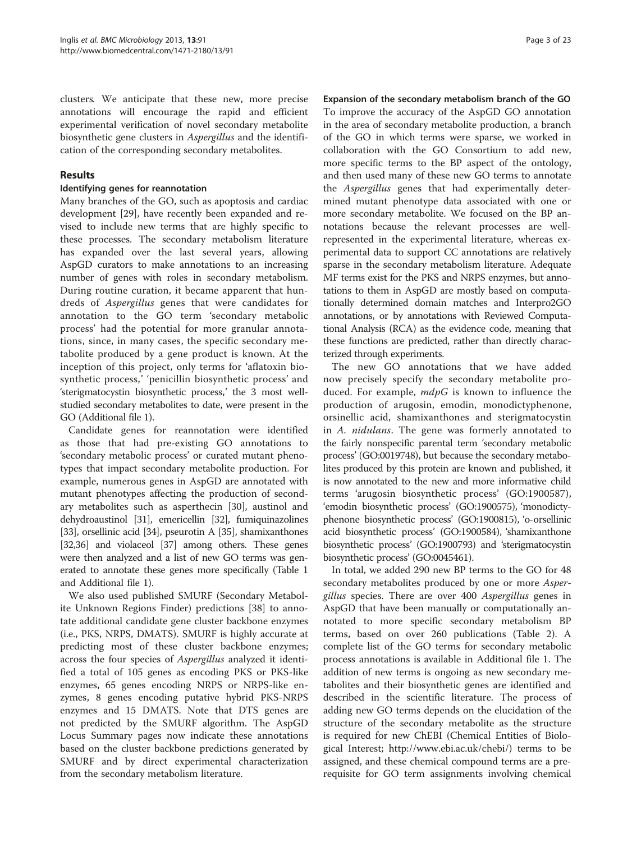clusters. We anticipate that these new, more precise annotations will encourage the rapid and efficient experimental verification of novel secondary metabolite biosynthetic gene clusters in Aspergillus and the identification of the corresponding secondary metabolites.

# Results

#### Identifying genes for reannotation

Many branches of the GO, such as apoptosis and cardiac development [\[29](#page-22-0)], have recently been expanded and revised to include new terms that are highly specific to these processes. The secondary metabolism literature has expanded over the last several years, allowing AspGD curators to make annotations to an increasing number of genes with roles in secondary metabolism. During routine curation, it became apparent that hundreds of Aspergillus genes that were candidates for annotation to the GO term 'secondary metabolic process' had the potential for more granular annotations, since, in many cases, the specific secondary metabolite produced by a gene product is known. At the inception of this project, only terms for 'aflatoxin biosynthetic process,' 'penicillin biosynthetic process' and 'sterigmatocystin biosynthetic process,' the 3 most wellstudied secondary metabolites to date, were present in the GO (Additional file [1](#page-21-0)).

Candidate genes for reannotation were identified as those that had pre-existing GO annotations to 'secondary metabolic process' or curated mutant phenotypes that impact secondary metabolite production. For example, numerous genes in AspGD are annotated with mutant phenotypes affecting the production of secondary metabolites such as asperthecin [\[30\]](#page-22-0), austinol and dehydroaustinol [\[31\]](#page-22-0), emericellin [\[32\]](#page-22-0), fumiquinazolines [[33](#page-22-0)], orsellinic acid [\[34](#page-22-0)], pseurotin A [[35](#page-22-0)], shamixanthones [[32,36\]](#page-22-0) and violaceol [\[37\]](#page-22-0) among others. These genes were then analyzed and a list of new GO terms was generated to annotate these genes more specifically (Table [1](#page-3-0) and Additional file [1\)](#page-21-0).

We also used published SMURF (Secondary Metabolite Unknown Regions Finder) predictions [\[38](#page-22-0)] to annotate additional candidate gene cluster backbone enzymes (i.e., PKS, NRPS, DMATS). SMURF is highly accurate at predicting most of these cluster backbone enzymes; across the four species of Aspergillus analyzed it identified a total of 105 genes as encoding PKS or PKS-like enzymes, 65 genes encoding NRPS or NRPS-like enzymes, 8 genes encoding putative hybrid PKS-NRPS enzymes and 15 DMATS. Note that DTS genes are not predicted by the SMURF algorithm. The AspGD Locus Summary pages now indicate these annotations based on the cluster backbone predictions generated by SMURF and by direct experimental characterization from the secondary metabolism literature.

Expansion of the secondary metabolism branch of the GO To improve the accuracy of the AspGD GO annotation in the area of secondary metabolite production, a branch of the GO in which terms were sparse, we worked in collaboration with the GO Consortium to add new, more specific terms to the BP aspect of the ontology, and then used many of these new GO terms to annotate the Aspergillus genes that had experimentally determined mutant phenotype data associated with one or more secondary metabolite. We focused on the BP annotations because the relevant processes are wellrepresented in the experimental literature, whereas experimental data to support CC annotations are relatively sparse in the secondary metabolism literature. Adequate MF terms exist for the PKS and NRPS enzymes, but annotations to them in AspGD are mostly based on computationally determined domain matches and Interpro2GO annotations, or by annotations with Reviewed Computational Analysis (RCA) as the evidence code, meaning that these functions are predicted, rather than directly characterized through experiments.

The new GO annotations that we have added now precisely specify the secondary metabolite produced. For example, *mdpG* is known to influence the production of arugosin, emodin, monodictyphenone, orsinellic acid, shamixanthones and sterigmatocystin in A. nidulans. The gene was formerly annotated to the fairly nonspecific parental term 'secondary metabolic process' (GO:0019748), but because the secondary metabolites produced by this protein are known and published, it is now annotated to the new and more informative child terms 'arugosin biosynthetic process' (GO:1900587), 'emodin biosynthetic process' (GO:1900575), 'monodictyphenone biosynthetic process' (GO:1900815), 'o-orsellinic acid biosynthetic process' (GO:1900584), 'shamixanthone biosynthetic process' (GO:1900793) and 'sterigmatocystin biosynthetic process' (GO:0045461).

In total, we added 290 new BP terms to the GO for 48 secondary metabolites produced by one or more Aspergillus species. There are over 400 Aspergillus genes in AspGD that have been manually or computationally annotated to more specific secondary metabolism BP terms, based on over 260 publications (Table [2](#page-4-0)). A complete list of the GO terms for secondary metabolic process annotations is available in Additional file [1.](#page-21-0) The addition of new terms is ongoing as new secondary metabolites and their biosynthetic genes are identified and described in the scientific literature. The process of adding new GO terms depends on the elucidation of the structure of the secondary metabolite as the structure is required for new ChEBI (Chemical Entities of Biological Interest; [http://www.ebi.ac.uk/chebi/\)](http://www.ebi.ac.uk/chebi/) terms to be assigned, and these chemical compound terms are a prerequisite for GO term assignments involving chemical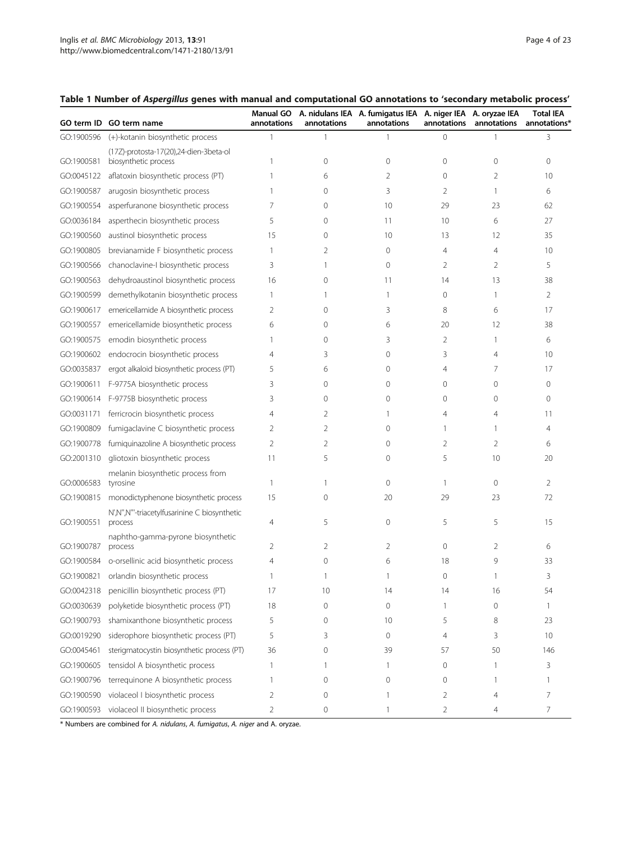|            | GO term ID GO term name                                        | <b>Manual GO</b><br>annotations | annotations  | A. nidulans IEA A. fumigatus IEA A. niger IEA A. oryzae IEA<br>annotations |                | annotations annotations | <b>Total IEA</b><br>annotations* |
|------------|----------------------------------------------------------------|---------------------------------|--------------|----------------------------------------------------------------------------|----------------|-------------------------|----------------------------------|
| GO:1900596 | (+)-kotanin biosynthetic process                               | 1                               |              |                                                                            | $\Omega$       | 1                       | 3                                |
| GO:1900581 | (17Z)-protosta-17(20),24-dien-3beta-ol<br>biosynthetic process | 1                               | $\mathbf{0}$ | $\mathbf 0$                                                                | $\mathbf 0$    | $\mathbf 0$             | $\circ$                          |
| GO:0045122 | aflatoxin biosynthetic process (PT)                            | 1                               | 6            | 2                                                                          | $\mathbf{0}$   | 2                       | 10                               |
| GO:1900587 | arugosin biosynthetic process                                  | 1                               | 0            | 3                                                                          | 2              | 1                       | 6                                |
| GO:1900554 | asperfuranone biosynthetic process                             | 7                               | 0            | 10                                                                         | 29             | 23                      | 62                               |
| GO:0036184 | asperthecin biosynthetic process                               | 5                               | 0            | 11                                                                         | 10             | 6                       | 27                               |
| GO:1900560 | austinol biosynthetic process                                  | 15                              | 0            | 10                                                                         | 13             | 12                      | 35                               |
| GO:1900805 | brevianamide F biosynthetic process                            | 1                               | 2            | 0                                                                          | $\overline{4}$ | $\overline{4}$          | 10                               |
| GO:1900566 | chanoclavine-I biosynthetic process                            | 3                               | 1            | $\mathbf{0}$                                                               | 2              | 2                       | 5                                |
| GO:1900563 | dehydroaustinol biosynthetic process                           | 16                              | 0            | 11                                                                         | 14             | 13                      | 38                               |
| GO:1900599 | demethylkotanin biosynthetic process                           | 1                               | 1            | $\mathbf{1}$                                                               | $\mathbf{0}$   | 1                       | $\overline{2}$                   |
| GO:1900617 | emericellamide A biosynthetic process                          | 2                               | 0            | 3                                                                          | 8              | 6                       | 17                               |
| GO:1900557 | emericellamide biosynthetic process                            | 6                               | 0            | 6                                                                          | 20             | 12                      | 38                               |
| GO:1900575 | emodin biosynthetic process                                    | 1                               | 0            | 3                                                                          | $\overline{2}$ | 1                       | 6                                |
| GO:1900602 | endocrocin biosynthetic process                                | 4                               | 3            | $\mathbf{0}$                                                               | 3              | 4                       | 10                               |
| GO:0035837 | ergot alkaloid biosynthetic process (PT)                       | 5                               | 6            | 0                                                                          | $\overline{4}$ | 7                       | 17                               |
|            | GO:1900611 F-9775A biosynthetic process                        | 3                               | 0            | 0                                                                          | $\mathbf{0}$   | 0                       | $\circ$                          |
|            | GO:1900614 F-9775B biosynthetic process                        | 3                               | $\mathbf{0}$ | 0                                                                          | $\mathbf{0}$   | 0                       | $\circ$                          |
|            | GO:0031171 ferricrocin biosynthetic process                    | 4                               | 2            | 1                                                                          | $\overline{4}$ | 4                       | 11                               |
| GO:1900809 | fumigaclavine C biosynthetic process                           | 2                               | 2            | 0                                                                          | 1              | 1                       | $\overline{4}$                   |
| GO:1900778 | fumiquinazoline A biosynthetic process                         | $\overline{2}$                  | 2            | $\mathbf{0}$                                                               | 2              | 2                       | 6                                |
| GO:2001310 | gliotoxin biosynthetic process                                 | 11                              | 5            | 0                                                                          | 5              | 10                      | 20                               |
| GO:0006583 | melanin biosynthetic process from<br>tyrosine                  | 1                               | 1            | $\mathbf 0$                                                                | $\overline{1}$ | $\mathbf{0}$            | $\overline{2}$                   |
| GO:1900815 | monodictyphenone biosynthetic process                          | 15                              | $\mathbf{0}$ | 20                                                                         | 29             | 23                      | 72                               |
| GO:1900551 | N',N",N"'-triacetylfusarinine C biosynthetic<br>process        | 4                               | 5            | $\mathbf{0}$                                                               | 5              | 5                       | 15                               |
| GO:1900787 | naphtho-gamma-pyrone biosynthetic<br>process                   | 2                               | 2            | 2                                                                          | $\mathbf{0}$   | 2                       | 6                                |
| GO:1900584 | o-orsellinic acid biosynthetic process                         | 4                               | 0            | 6                                                                          | 18             | 9                       | 33                               |
| GO:1900821 | orlandin biosynthetic process                                  | 1                               |              | 1                                                                          | $\mathbf{0}$   | $\mathbf{1}$            | 3                                |
| GO:0042318 | penicillin biosynthetic process (PT)                           | 17                              | 10           | 14                                                                         | 14             | 16                      | 54                               |
| GO:0030639 | polyketide biosynthetic process (PT)                           | 18                              | 0            | 0                                                                          | -1             | 0                       | -1                               |
| GO:1900793 | shamixanthone biosynthetic process                             | 5                               | 0            | 10                                                                         | 5              | 8                       | 23                               |
| GO:0019290 | siderophore biosynthetic process (PT)                          | 5                               | 3            | $\mathbf 0$                                                                | $\overline{4}$ | 3                       | 10                               |
| GO:0045461 | sterigmatocystin biosynthetic process (PT)                     | 36                              | 0            | 39                                                                         | 57             | 50                      | 146                              |
| GO:1900605 | tensidol A biosynthetic process                                | 1                               |              | 1                                                                          | 0              | 1                       | 3                                |
| GO:1900796 | terrequinone A biosynthetic process                            | 1                               | 0            | 0                                                                          | 0              | 1                       | -1                               |
| GO:1900590 | violaceol I biosynthetic process                               | 2                               | 0            | 1                                                                          | 2              | 4                       | 7                                |
|            | GO:1900593 violaceol II biosynthetic process                   | 2                               | 0            | 1                                                                          | $\overline{2}$ | 4                       | 7                                |

# <span id="page-3-0"></span>Table 1 Number of Aspergillus genes with manual and computational GO annotations to 'secondary metabolic process'

\* Numbers are combined for A. nidulans, A. fumigatus, A. niger and A. oryzae.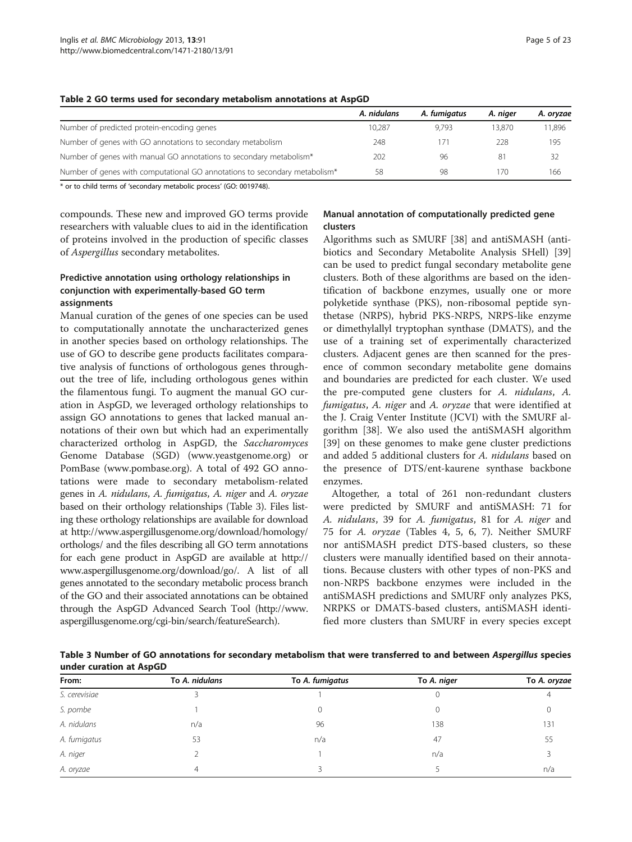<span id="page-4-0"></span>

| Table 2 GO terms used for secondary metabolism annotations at AspGD |  |  |
|---------------------------------------------------------------------|--|--|
|                                                                     |  |  |

|                                                                            | A. nidulans | A. fumigatus | A. niaer | A. oryzae |
|----------------------------------------------------------------------------|-------------|--------------|----------|-----------|
| Number of predicted protein-encoding genes                                 | 10.287      | 9.793        | 13.870   | 11.896    |
| Number of genes with GO annotations to secondary metabolism                | 248         | 71           | 228      | 195       |
| Number of genes with manual GO annotations to secondary metabolism*        | 202         | 96           | 81       | 32        |
| Number of genes with computational GO annotations to secondary metabolism* | 58          | 98           | 170      | 166       |
|                                                                            |             |              |          |           |

\* or to child terms of 'secondary metabolic process' (GO: 0019748).

compounds. These new and improved GO terms provide researchers with valuable clues to aid in the identification of proteins involved in the production of specific classes of Aspergillus secondary metabolites.

# Predictive annotation using orthology relationships in conjunction with experimentally-based GO term assignments

Manual curation of the genes of one species can be used to computationally annotate the uncharacterized genes in another species based on orthology relationships. The use of GO to describe gene products facilitates comparative analysis of functions of orthologous genes throughout the tree of life, including orthologous genes within the filamentous fungi. To augment the manual GO curation in AspGD, we leveraged orthology relationships to assign GO annotations to genes that lacked manual annotations of their own but which had an experimentally characterized ortholog in AspGD, the Saccharomyces Genome Database (SGD) [\(www.yeastgenome.org\)](http://www.yeastgenome.org) or PomBase [\(www.pombase.org\)](http://www.pombase.org). A total of 492 GO annotations were made to secondary metabolism-related genes in A. nidulans, A. fumigatus, A. niger and A. oryzae based on their orthology relationships (Table 3). Files listing these orthology relationships are available for download at [http://www.aspergillusgenome.org/download/homology/](http://www.aspergillusgenome.org/download/homology/orthologs/) [orthologs/](http://www.aspergillusgenome.org/download/homology/orthologs/) and the files describing all GO term annotations for each gene product in AspGD are available at [http://](http://www.aspergillusgenome.org/download/go/) [www.aspergillusgenome.org/download/go/.](http://www.aspergillusgenome.org/download/go/) A list of all genes annotated to the secondary metabolic process branch of the GO and their associated annotations can be obtained through the AspGD Advanced Search Tool ([http://www.](http://www.aspergillusgenome.org/cgi-bin/search/featureSearch) [aspergillusgenome.org/cgi-bin/search/featureSearch\)](http://www.aspergillusgenome.org/cgi-bin/search/featureSearch).

# Manual annotation of computationally predicted gene clusters

Algorithms such as SMURF [[38\]](#page-22-0) and antiSMASH (antibiotics and Secondary Metabolite Analysis SHell) [[39](#page-22-0)] can be used to predict fungal secondary metabolite gene clusters. Both of these algorithms are based on the identification of backbone enzymes, usually one or more polyketide synthase (PKS), non-ribosomal peptide synthetase (NRPS), hybrid PKS-NRPS, NRPS-like enzyme or dimethylallyl tryptophan synthase (DMATS), and the use of a training set of experimentally characterized clusters. Adjacent genes are then scanned for the presence of common secondary metabolite gene domains and boundaries are predicted for each cluster. We used the pre-computed gene clusters for A. nidulans, A. fumigatus, A. niger and A. oryzae that were identified at the J. Craig Venter Institute (JCVI) with the SMURF algorithm [\[38](#page-22-0)]. We also used the antiSMASH algorithm [[39\]](#page-22-0) on these genomes to make gene cluster predictions and added 5 additional clusters for A. nidulans based on the presence of DTS/ent-kaurene synthase backbone enzymes.

Altogether, a total of 261 non-redundant clusters were predicted by SMURF and antiSMASH: 71 for A. nidulans, 39 for A. fumigatus, 81 for A. niger and 75 for A. oryzae (Tables [4,](#page-5-0) [5](#page-8-0), [6,](#page-10-0) [7](#page-13-0)). Neither SMURF nor antiSMASH predict DTS-based clusters, so these clusters were manually identified based on their annotations. Because clusters with other types of non-PKS and non-NRPS backbone enzymes were included in the antiSMASH predictions and SMURF only analyzes PKS, NRPKS or DMATS-based clusters, antiSMASH identified more clusters than SMURF in every species except

Table 3 Number of GO annotations for secondary metabolism that were transferred to and between Aspergillus species under curation at AspGD

| From:         | To A. nidulans | To A. fumigatus | To A. niger | To A. oryzae |
|---------------|----------------|-----------------|-------------|--------------|
| S. cerevisiae |                |                 | U           |              |
| S. pombe      |                | 0               | 0           |              |
| A. nidulans   | n/a            | 96              | 138         | 131          |
| A. fumigatus  | 53             | n/a             | 47          | 55           |
| A. niger      |                |                 | n/a         |              |
| A. oryzae     | 4              |                 |             | n/a          |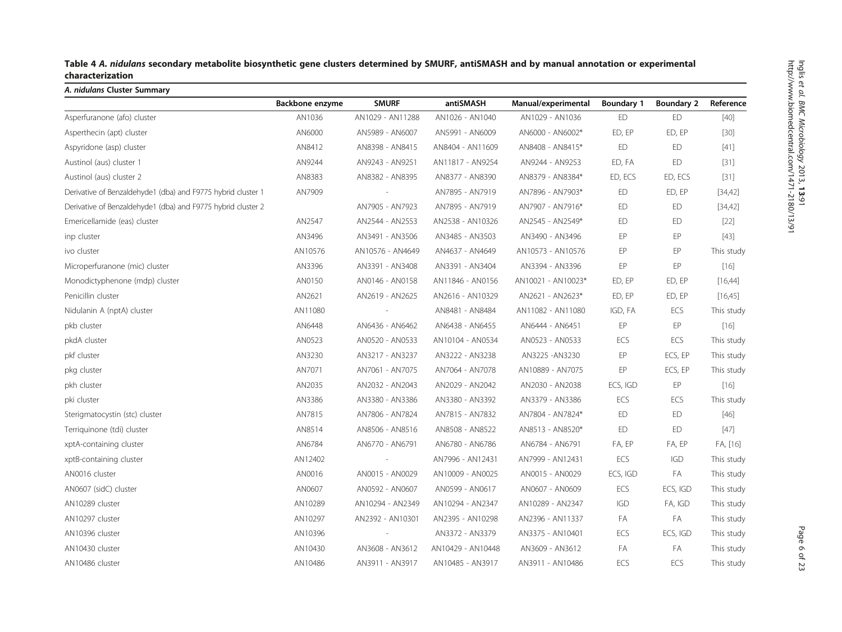# <span id="page-5-0"></span>Table 4 A. nidulans secondary metabolite biosynthetic gene clusters determined by SMURF, antiSMASH and by manual annotation or experimental characterization

| A. nidulans Cluster Summary                                  |                 |                  |                   |                     |                   |                   |            |
|--------------------------------------------------------------|-----------------|------------------|-------------------|---------------------|-------------------|-------------------|------------|
|                                                              | Backbone enzyme | <b>SMURF</b>     | antiSMASH         | Manual/experimental | <b>Boundary 1</b> | <b>Boundary 2</b> | Reference  |
| Asperfuranone (afo) cluster                                  | AN1036          | AN1029 - AN11288 | AN1026 - AN1040   | AN1029 - AN1036     | ED                | ED                | $[40]$     |
| Asperthecin (apt) cluster                                    | AN6000          | AN5989 - AN6007  | AN5991 - AN6009   | AN6000 - AN6002*    | ED, EP            | ED, EP            | $[30]$     |
| Aspyridone (asp) cluster                                     | AN8412          | AN8398 - AN8415  | AN8404 - AN11609  | AN8408 - AN8415*    | ED                | ED                | $[41]$     |
| Austinol (aus) cluster 1                                     | AN9244          | AN9243 - AN9251  | AN11817 - AN9254  | AN9244 - AN9253     | ED, FA            | ED                | $[31]$     |
| Austinol (aus) cluster 2                                     | AN8383          | AN8382 - AN8395  | AN8377 - AN8390   | AN8379 - AN8384*    | ED, ECS           | ED, ECS           | $[31]$     |
| Derivative of Benzaldehyde1 (dba) and F9775 hybrid cluster 1 | AN7909          |                  | AN7895 - AN7919   | AN7896 - AN7903*    | ED                | ED, EP            | [34, 42]   |
| Derivative of Benzaldehyde1 (dba) and F9775 hybrid cluster 2 |                 | AN7905 - AN7923  | AN7895 - AN7919   | AN7907 - AN7916*    | ED                | ED                | [34, 42]   |
| Emericellamide (eas) cluster                                 | AN2547          | AN2544 - AN2553  | AN2538 - AN10326  | AN2545 - AN2549*    | ED.               | ED                | $[22]$     |
| inp cluster                                                  | AN3496          | AN3491 - AN3506  | AN3485 - AN3503   | AN3490 - AN3496     | EP                | EP                | $[43]$     |
| ivo cluster                                                  | AN10576         | AN10576 - AN4649 | AN4637 - AN4649   | AN10573 - AN10576   | EP                | EP                | This study |
| Microperfuranone (mic) cluster                               | AN3396          | AN3391 - AN3408  | AN3391 - AN3404   | AN3394 - AN3396     | EP                | EP                | $[16]$     |
| Monodictyphenone (mdp) cluster                               | AN0150          | AN0146 - AN0158  | AN11846 - AN0156  | AN10021 - AN10023*  | ED, EP            | ED, EP            | [16,44]    |
| Penicillin cluster                                           | AN2621          | AN2619 - AN2625  | AN2616 - AN10329  | AN2621 - AN2623*    | ED, EP            | ED, EP            | [16, 45]   |
| Nidulanin A (nptA) cluster                                   | AN11080         |                  | AN8481 - AN8484   | AN11082 - AN11080   | IGD, FA           | ECS               | This study |
| pkb cluster                                                  | AN6448          | AN6436 - AN6462  | AN6438 - AN6455   | AN6444 - AN6451     | EP                | EP                | $[16]$     |
| pkdA cluster                                                 | AN0523          | AN0520 - AN0533  | AN10104 - AN0534  | AN0523 - AN0533     | ECS               | ECS               | This study |
| pkf cluster                                                  | AN3230          | AN3217 - AN3237  | AN3222 - AN3238   | AN3225 - AN3230     | EP                | ECS, EP           | This study |
| pkg cluster                                                  | AN7071          | AN7061 - AN7075  | AN7064 - AN7078   | AN10889 - AN7075    | EP                | ECS, EP           | This study |
| pkh cluster                                                  | AN2035          | AN2032 - AN2043  | AN2029 - AN2042   | AN2030 - AN2038     | ECS, IGD          | EP                | $[16]$     |
| pki cluster                                                  | AN3386          | AN3380 - AN3386  | AN3380 - AN3392   | AN3379 - AN3386     | ECS               | ECS               | This study |
| Sterigmatocystin (stc) cluster                               | AN7815          | AN7806 - AN7824  | AN7815 - AN7832   | AN7804 - AN7824*    | ED                | ED                | $[46]$     |
| Terriquinone (tdi) cluster                                   | AN8514          | AN8506 - AN8516  | AN8508 - AN8522   | AN8513 - AN8520*    | ED                | ED                | $[47]$     |
| xptA-containing cluster                                      | AN6784          | AN6770 - AN6791  | AN6780 - AN6786   | AN6784 - AN6791     | FA, EP            | FA, EP            | FA, [16]   |
| xptB-containing cluster                                      | AN12402         | $\sim$           | AN7996 - AN12431  | AN7999 - AN12431    | ECS               | IGD               | This study |
| AN0016 cluster                                               | AN0016          | AN0015 - AN0029  | AN10009 - AN0025  | AN0015 - AN0029     | ECS, IGD          | FA                | This study |
| AN0607 (sidC) cluster                                        | AN0607          | AN0592 - AN0607  | AN0599 - AN0617   | AN0607 - AN0609     | ECS               | ECS, IGD          | This study |
| AN10289 cluster                                              | AN10289         | AN10294 - AN2349 | AN10294 - AN2347  | AN10289 - AN2347    | IGD               | FA, IGD           | This study |
| AN10297 cluster                                              | AN10297         | AN2392 - AN10301 | AN2395 - AN10298  | AN2396 - AN11337    | FA                | FA                | This study |
| AN10396 cluster                                              | AN10396         |                  | AN3372 - AN3379   | AN3375 - AN10401    | ECS               | ECS, IGD          | This study |
| AN10430 cluster                                              | AN10430         | AN3608 - AN3612  | AN10429 - AN10448 | AN3609 - AN3612     | FA                | FA                | This study |
| AN10486 cluster                                              | AN10486         | AN3911 - AN3917  | AN10485 - AN3917  | AN3911 - AN10486    | ECS               | ECS               | This study |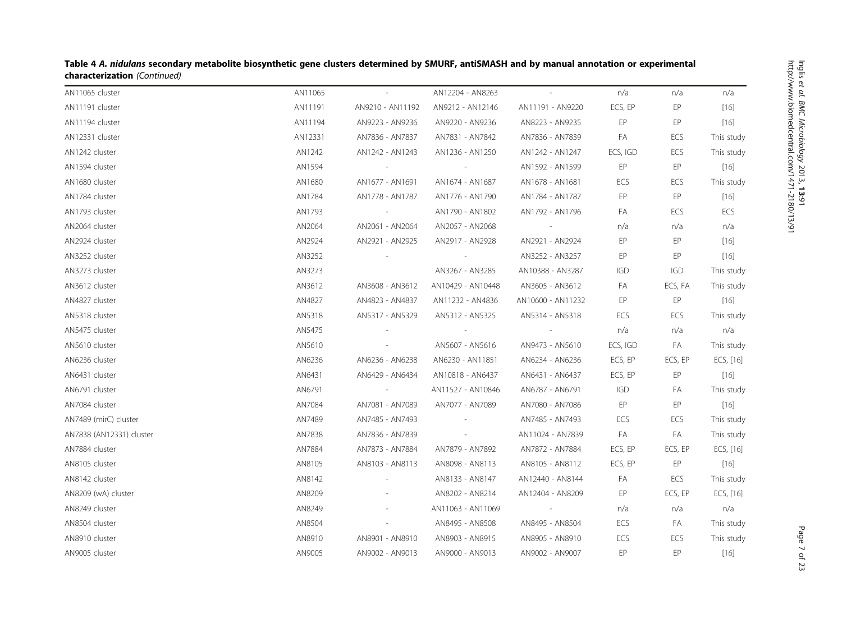| AN11065 cluster          | AN11065 | $\overline{\phantom{a}}$ | AN12204 - AN8263  |                          | n/a      | n/a     | n/a        |
|--------------------------|---------|--------------------------|-------------------|--------------------------|----------|---------|------------|
| AN11191 cluster          | AN11191 | AN9210 - AN11192         | AN9212 - AN12146  | AN11191 - AN9220         | ECS, EP  | EP      | $[16]$     |
| AN11194 cluster          | AN11194 | AN9223 - AN9236          | AN9220 - AN9236   | AN8223 - AN9235          | EP       | EP      | $[16]$     |
| AN12331 cluster          | AN12331 | AN7836 - AN7837          | AN7831 - AN7842   | AN7836 - AN7839          | FA       | ECS     | This study |
| AN1242 cluster           | AN1242  | AN1242 - AN1243          | AN1236 - AN1250   | AN1242 - AN1247          | ECS, IGD | ECS     | This study |
| AN1594 cluster           | AN1594  |                          |                   | AN1592 - AN1599          | EP       | EP      | [16]       |
| AN1680 cluster           | AN1680  | AN1677 - AN1691          | AN1674 - AN1687   | AN1678 - AN1681          | ECS      | ECS     | This study |
| AN1784 cluster           | AN1784  | AN1778 - AN1787          | AN1776 - AN1790   | AN1784 - AN1787          | EP       | EP      | $[16]$     |
| AN1793 cluster           | AN1793  | $\sim$                   | AN1790 - AN1802   | AN1792 - AN1796          | FA       | ECS     | ECS        |
| AN2064 cluster           | AN2064  | AN2061 - AN2064          | AN2057 - AN2068   | $\overline{\phantom{a}}$ | n/a      | n/a     | n/a        |
| AN2924 cluster           | AN2924  | AN2921 - AN2925          | AN2917 - AN2928   | AN2921 - AN2924          | EP       | EP      | $[16]$     |
| AN3252 cluster           | AN3252  |                          |                   | AN3252 - AN3257          | EP       | EP      | $[16]$     |
| AN3273 cluster           | AN3273  |                          | AN3267 - AN3285   | AN10388 - AN3287         | IGD      | IGD     | This study |
| AN3612 cluster           | AN3612  | AN3608 - AN3612          | AN10429 - AN10448 | AN3605 - AN3612          | FA       | ECS, FA | This study |
| AN4827 cluster           | AN4827  | AN4823 - AN4837          | AN11232 - AN4836  | AN10600 - AN11232        | EP       | EP      | $[16]$     |
| AN5318 cluster           | AN5318  | AN5317 - AN5329          | AN5312 - AN5325   | AN5314 - AN5318          | ECS      | ECS     | This study |
| AN5475 cluster           | AN5475  |                          |                   |                          | n/a      | n/a     | n/a        |
| AN5610 cluster           | AN5610  |                          | AN5607 - AN5616   | AN9473 - AN5610          | ECS, IGD | FA      | This study |
| AN6236 cluster           | AN6236  | AN6236 - AN6238          | AN6230 - AN11851  | AN6234 - AN6236          | ECS, EP  | ECS, EP | ECS, [16]  |
| AN6431 cluster           | AN6431  | AN6429 - AN6434          | AN10818 - AN6437  | AN6431 - AN6437          | ECS, EP  | EP      | $[16]$     |
| AN6791 cluster           | AN6791  | $\sim$                   | AN11527 - AN10846 | AN6787 - AN6791          | IGD      | FA      | This study |
| AN7084 cluster           | AN7084  | AN7081 - AN7089          | AN7077 - AN7089   | AN7080 - AN7086          | EP       | EP      | $[16]$     |
| AN7489 (mirC) cluster    | AN7489  | AN7485 - AN7493          |                   | AN7485 - AN7493          | ECS      | ECS     | This study |
| AN7838 (AN12331) cluster | AN7838  | AN7836 - AN7839          |                   | AN11024 - AN7839         | FA       | FA      | This study |
| AN7884 cluster           | AN7884  | AN7873 - AN7884          | AN7879 - AN7892   | AN7872 - AN7884          | ECS, EP  | ECS, EP | ECS, [16]  |
| AN8105 cluster           | AN8105  | AN8103 - AN8113          | AN8098 - AN8113   | AN8105 - AN8112          | ECS, EP  | EP      | $[16]$     |
| AN8142 cluster           | AN8142  |                          | AN8133 - AN8147   | AN12440 - AN8144         | FA       | ECS     | This study |
| AN8209 (wA) cluster      | AN8209  |                          | AN8202 - AN8214   | AN12404 - AN8209         | EP       | ECS, EP | ECS, [16]  |
| AN8249 cluster           | AN8249  |                          | AN11063 - AN11069 | $\overline{\phantom{a}}$ | n/a      | n/a     | n/a        |
| AN8504 cluster           | AN8504  |                          | AN8495 - AN8508   | AN8495 - AN8504          | ECS      | FA      | This study |
| AN8910 cluster           | AN8910  | AN8901 - AN8910          | AN8903 - AN8915   | AN8905 - AN8910          | ECS      | ECS     | This study |
| AN9005 cluster           | AN9005  | AN9002 - AN9013          | AN9000 - AN9013   | AN9002 - AN9007          | EP       | EP      | $[16]$     |

Table 4 A. nidulans secondary metabolite biosynthetic gene clusters determined by SMURF, antiSMASH and by manual annotation or experimental characterization (Continued)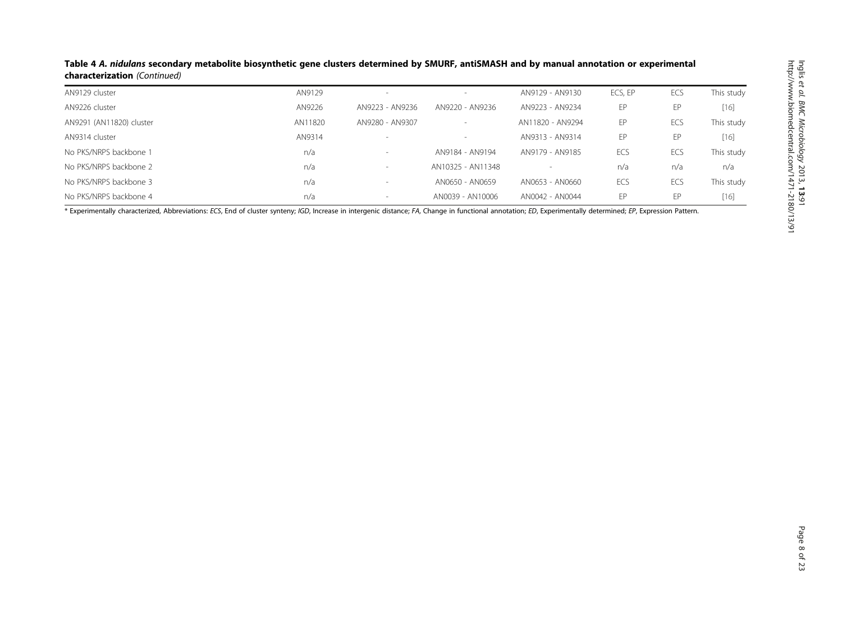| http://www.biomedcentral.com/1471-2180/13/91 | Inglis et al. BMC Microbiology 2013, 13:91 |
|----------------------------------------------|--------------------------------------------|
|                                              |                                            |
|                                              |                                            |
|                                              |                                            |
|                                              |                                            |
|                                              |                                            |
|                                              |                                            |
|                                              |                                            |
|                                              |                                            |
|                                              |                                            |
|                                              |                                            |
|                                              |                                            |
|                                              |                                            |
|                                              |                                            |
|                                              |                                            |
|                                              |                                            |
|                                              |                                            |
|                                              |                                            |

| Table 4 A. nidulans secondary metabolite biosynthetic gene clusters determined by SMURF, antiSMASH and by manual annotation or experimental |  |
|---------------------------------------------------------------------------------------------------------------------------------------------|--|
| <b>characterization</b> (Continued)                                                                                                         |  |
|                                                                                                                                             |  |

AN9226 cluster AN9226 AN9223 - AN9236 AN9220 - AN9236 AN9223 - AN9234 EP EP [[16](#page-21-0)] AN9291 (AN11820) cluster This study and AN11820 AN9280 - AN9307 - AN11820 - AN9294 EP ECS This study AN9314 cluster **EP** EP [[16](#page-21-0)] AN9314 **AN9314** - - - - - - - AN9313 - AN9314 EP EP [16] No PKS/NRPS backbone 1 n/a - AN9184 - AN9194 AN9179 - AN9185 ECS ECS This study No PKS/NRPS backbone 2 n/a - AN10325 - AN11348 - n/a n/a n/a No PKS/NRPS backbone 3 hotels and the study of the study of the study of the study of the study of the study of the study of the study of the study of the study of the study of the study of the study of the study of the st No PKS/NRPS backbone 4 **has a contract the contract of the C**P and the AN0039 - AN10006 AN0042 - AN0044 EP EP [[16](#page-21-0)]

AN9129 cluster **AN9129** - AN9129 - AN9129 - AN9129 - AN9129 - AN9129 - AN9129 - ECS, EP ECS This study

\* Experimentally characterized, Abbreviations: ECS, End of cluster synteny; IGD, Increase in intergenic distance; FA, Change in functional annotation; ED, Experimentally determined; EP, Expression Pattern.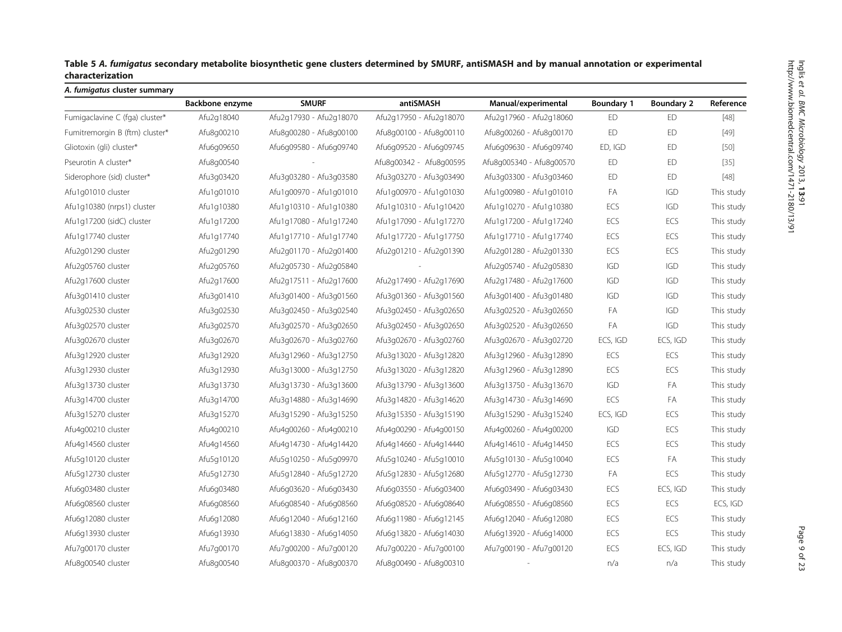<span id="page-8-0"></span>

| Table 5 A. fumigatus secondary metabolite biosynthetic gene clusters determined by SMURF, antiSMASH and by manual annotation or experimental |
|----------------------------------------------------------------------------------------------------------------------------------------------|
| characterization                                                                                                                             |

| A. fumigatus cluster summary   |                 |                         |                         |                          |                   |                   |            |
|--------------------------------|-----------------|-------------------------|-------------------------|--------------------------|-------------------|-------------------|------------|
|                                | Backbone enzyme | <b>SMURF</b>            | antiSMASH               | Manual/experimental      | <b>Boundary 1</b> | <b>Boundary 2</b> | Reference  |
| Fumigaclavine C (fga) cluster* | Afu2g18040      | Afu2g17930 - Afu2g18070 | Afu2g17950 - Afu2g18070 | Afu2g17960 - Afu2g18060  | ED                | ED                | $[48]$     |
| Fumitremorgin B (ftm) cluster* | Afu8g00210      | Afu8q00280 - Afu8q00100 | Afu8q00100 - Afu8q00110 | Afu8q00260 - Afu8q00170  | ED                | ED                | $[49]$     |
| Gliotoxin (gli) cluster*       | Afu6g09650      | Afu6g09580 - Afu6g09740 | Afu6g09520 - Afu6g09745 | Afu6g09630 - Afu6g09740  | ED, IGD           | ED                | $[50]$     |
| Pseurotin A cluster*           | Afu8q00540      |                         | Afu8g00342 - Afu8g00595 | Afu8q005340 - Afu8q00570 | ED                | ED                | $[35]$     |
| Siderophore (sid) cluster*     | Afu3q03420      | Afu3q03280 - Afu3q03580 | Afu3q03270 - Afu3q03490 | Afu3q03300 - Afu3q03460  | ED                | ED                | $[48]$     |
| Afu1g01010 cluster             | Afu1g01010      | Afu1g00970 - Afu1g01010 | Afu1g00970 - Afu1g01030 | Afu1q00980 - Afu1q01010  | FA                | IGD               | This study |
| Afu1q10380 (nrps1) cluster     | Afu1g10380      | Afu1q10310 - Afu1q10380 | Afu1g10310 - Afu1g10420 | Afu1q10270 - Afu1q10380  | ECS               | IGD               | This study |
| Afu1g17200 (sidC) cluster      | Afu1g17200      | Afu1g17080 - Afu1g17240 | Afu1g17090 - Afu1g17270 | Afu1g17200 - Afu1g17240  | ECS               | ECS               | This study |
| Afu1q17740 cluster             | Afu1g17740      | Afu1g17710 - Afu1g17740 | Afu1g17720 - Afu1g17750 | Afu1q17710 - Afu1q17740  | ECS               | ECS               | This study |
| Afu2g01290 cluster             | Afu2g01290      | Afu2g01170 - Afu2g01400 | Afu2g01210 - Afu2g01390 | Afu2q01280 - Afu2q01330  | ECS               | ECS               | This study |
| Afu2q05760 cluster             | Afu2q05760      | Afu2g05730 - Afu2g05840 |                         | Afu2q05740 - Afu2q05830  | IGD               | <b>IGD</b>        | This study |
| Afu2g17600 cluster             | Afu2g17600      | Afu2g17511 - Afu2g17600 | Afu2g17490 - Afu2g17690 | Afu2g17480 - Afu2g17600  | IGD               | IGD               | This study |
| Afu3g01410 cluster             | Afu3g01410      | Afu3g01400 - Afu3g01560 | Afu3g01360 - Afu3g01560 | Afu3g01400 - Afu3g01480  | IGD               | IGD               | This study |
| Afu3g02530 cluster             | Afu3g02530      | Afu3g02450 - Afu3g02540 | Afu3g02450 - Afu3g02650 | Afu3g02520 - Afu3g02650  | FA                | IGD               | This study |
| Afu3g02570 cluster             | Afu3g02570      | Afu3q02570 - Afu3q02650 | Afu3q02450 - Afu3q02650 | Afu3q02520 - Afu3q02650  | FA                | IGD               | This study |
| Afu3g02670 cluster             | Afu3g02670      | Afu3g02670 - Afu3g02760 | Afu3q02670 - Afu3q02760 | Afu3g02670 - Afu3g02720  | ECS, IGD          | ECS, IGD          | This study |
| Afu3g12920 cluster             | Afu3g12920      | Afu3g12960 - Afu3g12750 | Afu3g13020 - Afu3g12820 | Afu3g12960 - Afu3g12890  | ECS               | ECS               | This study |
| Afu3g12930 cluster             | Afu3g12930      | Afu3g13000 - Afu3g12750 | Afu3q13020 - Afu3q12820 | Afu3g12960 - Afu3g12890  | ECS               | ECS               | This study |
| Afu3g13730 cluster             | Afu3g13730      | Afu3g13730 - Afu3g13600 | Afu3g13790 - Afu3g13600 | Afu3g13750 - Afu3g13670  | IGD               | FA                | This study |
| Afu3q14700 cluster             | Afu3g14700      | Afu3g14880 - Afu3g14690 | Afu3g14820 - Afu3g14620 | Afu3g14730 - Afu3g14690  | ECS               | <b>FA</b>         | This study |
| Afu3q15270 cluster             | Afu3g15270      | Afu3g15290 - Afu3g15250 | Afu3g15350 - Afu3g15190 | Afu3q15290 - Afu3q15240  | ECS, IGD          | ECS               | This study |
| Afu4g00210 cluster             | Afu4q00210      | Afu4q00260 - Afu4q00210 | Afu4q00290 - Afu4q00150 | Afu4g00260 - Afu4g00200  | IGD               | ECS               | This study |
| Afu4g14560 cluster             | Afu4g14560      | Afu4g14730 - Afu4g14420 | Afu4g14660 - Afu4g14440 | Afu4g14610 - Afu4g14450  | ECS               | ECS               | This study |
| Afu5g10120 cluster             | Afu5g10120      | Afu5g10250 - Afu5g09970 | Afu5g10240 - Afu5g10010 | Afu5g10130 - Afu5g10040  | ECS               | FA                | This study |
| Afu5g12730 cluster             | Afu5g12730      | Afu5g12840 - Afu5g12720 | Afu5g12830 - Afu5g12680 | Afu5g12770 - Afu5g12730  | FA                | ECS               | This study |
| Afu6g03480 cluster             | Afu6g03480      | Afu6g03620 - Afu6g03430 | Afu6g03550 - Afu6g03400 | Afu6g03490 - Afu6g03430  | ECS               | ECS, IGD          | This study |
| Afu6g08560 cluster             | Afu6g08560      | Afu6g08540 - Afu6g08560 | Afu6g08520 - Afu6g08640 | Afu6g08550 - Afu6g08560  | ECS               | ECS               | ECS, IGD   |
| Afu6g12080 cluster             | Afu6g12080      | Afu6g12040 - Afu6g12160 | Afu6g11980 - Afu6g12145 | Afu6g12040 - Afu6g12080  | ECS               | ECS               | This study |
| Afu6g13930 cluster             | Afu6g13930      | Afu6g13830 - Afu6g14050 | Afu6g13820 - Afu6g14030 | Afu6g13920 - Afu6g14000  | ECS               | ECS               | This study |
| Afu7q00170 cluster             | Afu7g00170      | Afu7g00200 - Afu7g00120 | Afu7g00220 - Afu7g00100 | Afu7g00190 - Afu7g00120  | ECS               | ECS, IGD          | This study |
| Afu8g00540 cluster             | Afu8g00540      | Afu8q00370 - Afu8q00370 | Afu8g00490 - Afu8g00310 | $\sim$                   | n/a               | n/a               | This study |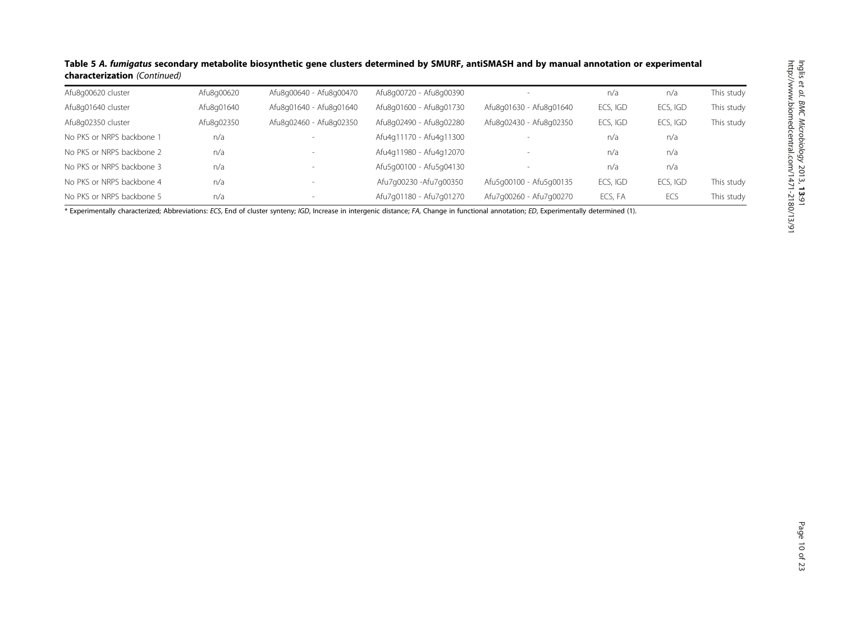| Table 5 A. fumigatus secondary metabolite biosynthetic gene clusters determined by SMURF, antiSMASH and by manual annotation or experimental |  |
|----------------------------------------------------------------------------------------------------------------------------------------------|--|
| <b>characterization</b> (Continued)                                                                                                          |  |

| Afu8g00620 cluster        | Afu8g00620 | Afu8q00640 - Afu8q00470 | Afu8q00720 - Afu8q00390 |                         | n/a      | n/a      | This study |
|---------------------------|------------|-------------------------|-------------------------|-------------------------|----------|----------|------------|
| Afu8g01640 cluster        | Afu8g01640 | Afu8q01640 - Afu8q01640 | Afu8g01600 - Afu8g01730 | Afu8g01630 - Afu8g01640 | ECS, IGD | ECS, IGD | This study |
| Afu8q02350 cluster        | Afu8g02350 | Afu8q02460 - Afu8q02350 | Afu8g02490 - Afu8g02280 | Afu8g02430 - Afu8g02350 | ECS, IGD | ECS, IGD | This study |
| No PKS or NRPS backbone 1 | n/a        |                         | Afu4g11170 - Afu4g11300 |                         | n/a      | n/a      |            |
| No PKS or NRPS backbone 2 | n/a        | $\sim$                  | Afu4g11980 - Afu4g12070 |                         | n/a      | n/a      |            |
| No PKS or NRPS backbone 3 | n/a        |                         | Afu5q00100 - Afu5q04130 |                         | n/a      | n/a      |            |
| No PKS or NRPS backbone 4 | n/a        |                         | Afu7q00230 - Afu7q00350 | Afu5q00100 - Afu5q00135 | ECS, IGD | ECS, IGD | This study |
| No PKS or NRPS backbone 5 | n/a        | $\sim$                  | Afu7g01180 - Afu7g01270 | Afu7g00260 - Afu7g00270 | ECS, FA  | ECS      | This study |

\* Experimentally characterized; Abbreviations: ECS, End of cluster synteny; IGD, Increase in intergenic distance; FA, Change in functional annotation; ED, Experimentally determined (1).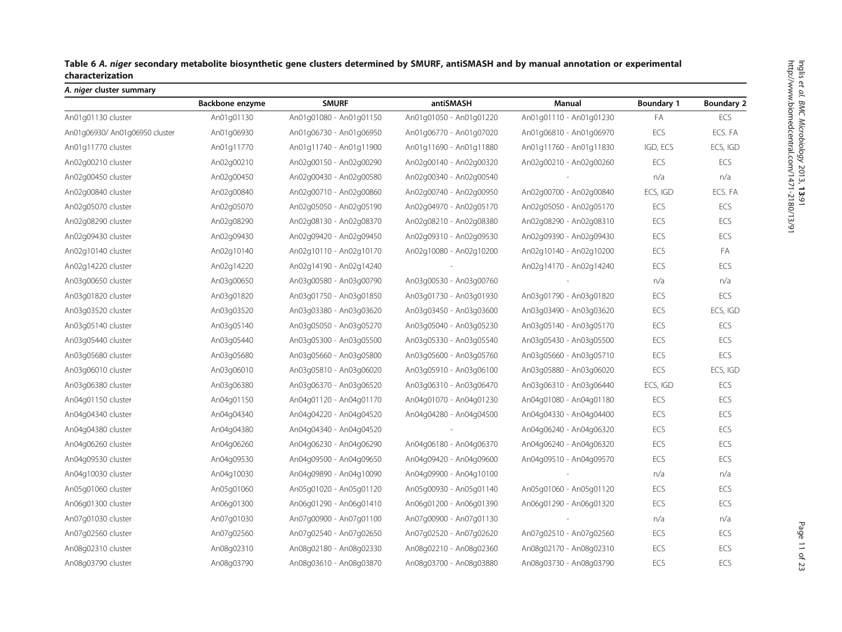<span id="page-10-0"></span>

|                  | Table 6 A. niger secondary metabolite biosynthetic gene clusters determined by SMURF, antiSMASH and by manual annotation or experimental |  |  |
|------------------|------------------------------------------------------------------------------------------------------------------------------------------|--|--|
| characterization |                                                                                                                                          |  |  |

| A. niger cluster summary       |                 |                         |                         |                         |                   |                   |
|--------------------------------|-----------------|-------------------------|-------------------------|-------------------------|-------------------|-------------------|
|                                | Backbone enzyme | <b>SMURF</b>            | antiSMASH               | Manual                  | <b>Boundary 1</b> | <b>Boundary 2</b> |
| An01g01130 cluster             | An01q01130      | An01g01080 - An01g01150 | An01g01050 - An01g01220 | An01g01110 - An01g01230 | FA                | <b>ECS</b>        |
| An01g06930/ An01g06950 cluster | An01g06930      | An01g06730 - An01g06950 | An01g06770 - An01g07020 | An01g06810 - An01g06970 | ECS               | ECS. FA           |
| An01g11770 cluster             | An01g11770      | An01g11740 - An01g11900 | An01g11690 - An01g11880 | An01g11760 - An01g11830 | IGD, ECS          | ECS, IGD          |
| An02g00210 cluster             | An02g00210      | An02g00150 - An02g00290 | An02g00140 - An02g00320 | An02g00210 - An02g00260 | ECS               | ECS               |
| An02q00450 cluster             | An02g00450      | An02q00430 - An02q00580 | An02g00340 - An02g00540 |                         | n/a               | n/a               |
| An02g00840 cluster             | An02g00840      | An02g00710 - An02g00860 | An02g00740 - An02g00950 | An02g00700 - An02g00840 | ECS, IGD          | ECS. FA           |
| An02g05070 cluster             | An02g05070      | An02g05050 - An02g05190 | An02g04970 - An02g05170 | An02g05050 - An02g05170 | ECS               | ECS               |
| An02g08290 cluster             | An02g08290      | An02g08130 - An02g08370 | An02g08210 - An02g08380 | An02g08290 - An02g08310 | ECS               | ECS               |
| An02g09430 cluster             | An02q09430      | An02q09420 - An02q09450 | An02q09310 - An02q09530 | An02q09390 - An02q09430 | ECS               | ECS               |
| An02g10140 cluster             | An02g10140      | An02g10110 - An02g10170 | An02g10080 - An02g10200 | An02g10140 - An02g10200 | ECS               | FA                |
| An02g14220 cluster             | An02g14220      | An02g14190 - An02g14240 |                         | An02g14170 - An02g14240 | ECS               | ECS               |
| An03q00650 cluster             | An03g00650      | An03q00580 - An03q00790 | An03q00530 - An03q00760 |                         | n/a               | n/a               |
| An03g01820 cluster             | An03g01820      | An03q01750 - An03q01850 | An03q01730 - An03q01930 | An03g01790 - An03g01820 | ECS               | ECS               |
| An03g03520 cluster             | An03g03520      | An03g03380 - An03g03620 | An03g03450 - An03g03600 | An03q03490 - An03q03620 | ECS               | ECS, IGD          |
| An03g05140 cluster             | An03g05140      | An03g05050 - An03g05270 | An03g05040 - An03g05230 | An03g05140 - An03g05170 | ECS               | ECS               |
| An03q05440 cluster             | An03g05440      | An03q05300 - An03q05500 | An03q05330 - An03q05540 | An03q05430 - An03q05500 | ECS               | ECS               |
| An03q05680 cluster             | An03g05680      | An03q05660 - An03q05800 | An03g05600 - An03g05760 | An03g05660 - An03g05710 | ECS               | ECS               |
| An03g06010 cluster             | An03g06010      | An03g05810 - An03g06020 | An03g05910 - An03g06100 | An03g05880 - An03g06020 | ECS               | ECS, IGD          |
| An03g06380 cluster             | An03g06380      | An03g06370 - An03g06520 | An03g06310 - An03g06470 | An03g06310 - An03g06440 | ECS, IGD          | ECS               |
| An04g01150 cluster             | An04g01150      | An04g01120 - An04g01170 | An04g01070 - An04g01230 | An04g01080 - An04g01180 | ECS               | ECS               |
| An04g04340 cluster             | An04g04340      | An04g04220 - An04g04520 | An04g04280 - An04g04500 | An04g04330 - An04g04400 | ECS               | ECS               |
| An04g04380 cluster             | An04g04380      | An04g04340 - An04g04520 |                         | An04g06240 - An04g06320 | ECS               | ECS               |
| An04g06260 cluster             | An04g06260      | An04g06230 - An04g06290 | An04g06180 - An04g06370 | An04g06240 - An04g06320 | <b>ECS</b>        | ECS               |
| An04q09530 cluster             | An04g09530      | An04q09500 - An04q09650 | An04g09420 - An04g09600 | An04g09510 - An04g09570 | ECS               | ECS               |
| An04g10030 cluster             | An04g10030      | An04g09890 - An04g10090 | An04g09900 - An04g10100 |                         | n/a               | n/a               |
| An05g01060 cluster             | An05g01060      | An05g01020 - An05g01120 | An05g00930 - An05g01140 | An05g01060 - An05g01120 | ECS               | ECS               |
| An06g01300 cluster             | An06q01300      | An06g01290 - An06g01410 | An06q01200 - An06q01390 | An06g01290 - An06g01320 | ECS               | ECS               |
| An07g01030 cluster             | An07g01030      | An07q00900 - An07q01100 | An07q00900 - An07q01130 |                         | n/a               | n/a               |
| An07g02560 cluster             | An07g02560      | An07g02540 - An07g02650 | An07g02520 - An07g02620 | An07q02510 - An07q02560 | ECS               | ECS               |
| An08g02310 cluster             | An08g02310      | An08g02180 - An08g02330 | An08g02210 - An08g02360 | An08g02170 - An08g02310 | ECS               | ECS               |
| An08q03790 cluster             | An08q03790      | An08g03610 - An08g03870 | An08q03700 - An08q03880 | An08q03730 - An08q03790 | ECS               | ECS               |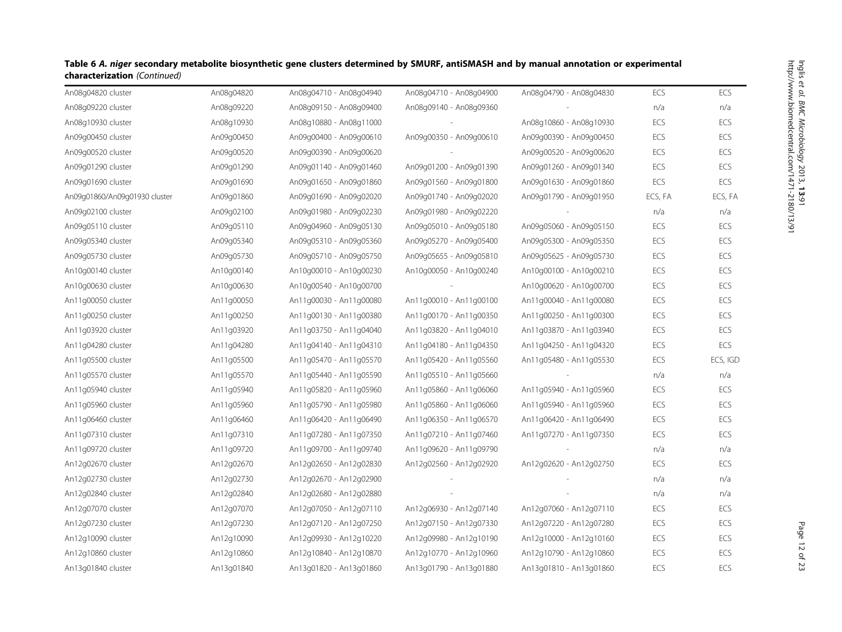# Table 6 A. niger secondary metabolite biosynthetic gene clusters determined by SMURF, antiSMASH and by manual annotation or experimental characterization (Continued)

| An08g04820 cluster            | An08g04820 | An08g04710 - An08g04940 | An08g04710 - An08g04900 | An08g04790 - An08g04830 | ECS     | ECS        |
|-------------------------------|------------|-------------------------|-------------------------|-------------------------|---------|------------|
| An08g09220 cluster            | An08g09220 | An08g09150 - An08g09400 | An08q09140 - An08q09360 |                         | n/a     | n/a        |
| An08g10930 cluster            | An08g10930 | An08g10880 - An08g11000 |                         | An08g10860 - An08g10930 | ECS     | ECS        |
| An09g00450 cluster            | An09g00450 | An09g00400 - An09g00610 | An09g00350 - An09g00610 | An09g00390 - An09g00450 | ECS     | ECS        |
| An09g00520 cluster            | An09g00520 | An09g00390 - An09g00620 |                         | An09g00520 - An09g00620 | ECS     | ECS        |
| An09g01290 cluster            | An09g01290 | An09g01140 - An09g01460 | An09q01200 - An09q01390 | An09q01260 - An09q01340 | ECS     | ECS        |
| An09g01690 cluster            | An09g01690 | An09g01650 - An09g01860 | An09g01560 - An09g01800 | An09g01630 - An09g01860 | ECS     | ECS        |
| An09g01860/An09g01930 cluster | An09g01860 | An09g01690 - An09g02020 | An09g01740 - An09g02020 | An09g01790 - An09g01950 | ECS, FA | ECS, FA    |
| An09q02100 cluster            | An09g02100 | An09g01980 - An09g02230 | An09q01980 - An09q02220 |                         | n/a     | n/a        |
| An09g05110 cluster            | An09g05110 | An09g04960 - An09g05130 | An09g05010 - An09g05180 | An09g05060 - An09g05150 | ECS     | ECS        |
| An09g05340 cluster            | An09g05340 | An09g05310 - An09g05360 | An09g05270 - An09g05400 | An09g05300 - An09g05350 | ECS     | ECS        |
| An09q05730 cluster            | An09g05730 | An09g05710 - An09g05750 | An09g05655 - An09g05810 | An09g05625 - An09g05730 | ECS     | ECS        |
| An10g00140 cluster            | An10g00140 | An10g00010 - An10g00230 | An10g00050 - An10g00240 | An10g00100 - An10g00210 | ECS     | ECS        |
| An10g00630 cluster            | An10g00630 | An10g00540 - An10g00700 |                         | An10g00620 - An10g00700 | ECS     | ECS        |
| An11g00050 cluster            | An11g00050 | An11g00030 - An11g00080 | An11g00010 - An11g00100 | An11g00040 - An11g00080 | ECS     | ECS        |
| An11g00250 cluster            | An11g00250 | An11g00130 - An11g00380 | An11g00170 - An11g00350 | An11g00250 - An11g00300 | ECS     | ECS        |
| An11g03920 cluster            | An11g03920 | An11g03750 - An11g04040 | An11g03820 - An11g04010 | An11g03870 - An11g03940 | ECS     | ECS        |
| An11g04280 cluster            | An11g04280 | An11g04140 - An11g04310 | An11g04180 - An11g04350 | An11g04250 - An11g04320 | ECS     | <b>ECS</b> |
| An11g05500 cluster            | An11g05500 | An11g05470 - An11g05570 | An11g05420 - An11g05560 | An11g05480 - An11g05530 | ECS     | ECS, IGD   |
| An11g05570 cluster            | An11g05570 | An11g05440 - An11g05590 | An11g05510 - An11g05660 |                         | n/a     | n/a        |
| An11g05940 cluster            | An11g05940 | An11g05820 - An11g05960 | An11g05860 - An11g06060 | An11g05940 - An11g05960 | ECS     | ECS        |
| An11g05960 cluster            | An11g05960 | An11g05790 - An11g05980 | An11g05860 - An11g06060 | An11g05940 - An11g05960 | ECS     | ECS        |
| An11g06460 cluster            | An11g06460 | An11g06420 - An11g06490 | An11g06350 - An11g06570 | An11g06420 - An11g06490 | ECS     | ECS        |
| An11g07310 cluster            | An11g07310 | An11g07280 - An11g07350 | An11g07210 - An11g07460 | An11g07270 - An11g07350 | ECS     | ECS        |
| An11g09720 cluster            | An11g09720 | An11g09700 - An11g09740 | An11g09620 - An11g09790 |                         | n/a     | n/a        |
| An12g02670 cluster            | An12g02670 | An12g02650 - An12g02830 | An12g02560 - An12g02920 | An12g02620 - An12g02750 | ECS     | ECS        |
| An12g02730 cluster            | An12g02730 | An12g02670 - An12g02900 |                         |                         | n/a     | n/a        |
| An12g02840 cluster            | An12g02840 | An12g02680 - An12g02880 |                         |                         | n/a     | n/a        |
| An12g07070 cluster            | An12g07070 | An12g07050 - An12g07110 | An12g06930 - An12g07140 | An12g07060 - An12g07110 | ECS     | ECS        |
| An12g07230 cluster            | An12g07230 | An12g07120 - An12g07250 | An12g07150 - An12g07330 | An12g07220 - An12g07280 | ECS     | ECS        |
| An12g10090 cluster            | An12g10090 | An12g09930 - An12g10220 | An12g09980 - An12g10190 | An12g10000 - An12g10160 | ECS     | ECS        |
| An12g10860 cluster            | An12g10860 | An12g10840 - An12g10870 | An12g10770 - An12g10960 | An12g10790 - An12g10860 | ECS     | ECS        |
| An13g01840 cluster            | An13g01840 | An13g01820 - An13g01860 | An13q01790 - An13q01880 | An13g01810 - An13g01860 | ECS     | ECS        |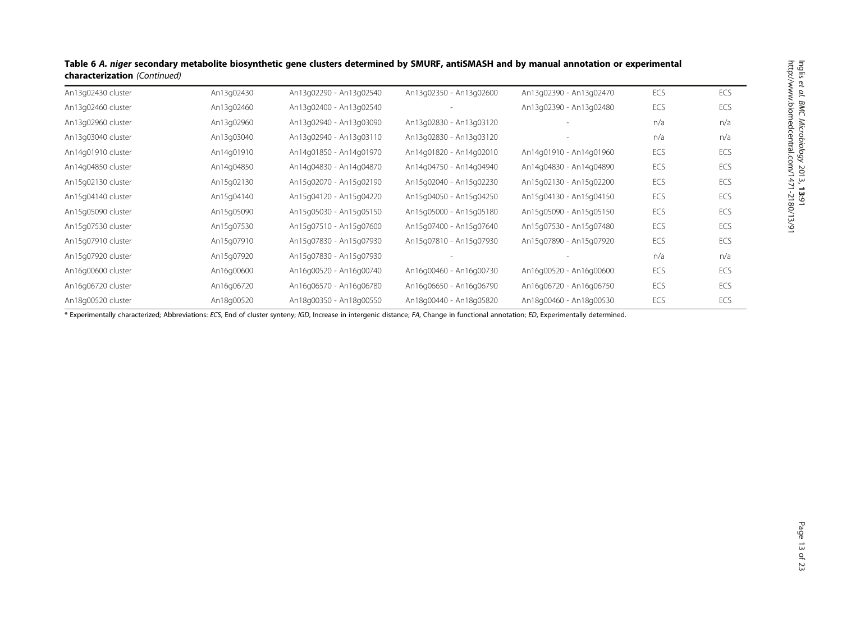| An13g02430 cluster | An13g02430 | An13g02290 - An13g02540 | An13g02350 - An13g02600 | An13g02390 - An13g02470 | ECS | ECS |
|--------------------|------------|-------------------------|-------------------------|-------------------------|-----|-----|
| An13g02460 cluster | An13g02460 | An13g02400 - An13g02540 |                         | An13g02390 - An13g02480 | ECS | ECS |
| An13g02960 cluster | An13g02960 | An13g02940 - An13g03090 | An13g02830 - An13g03120 |                         | n/a | n/a |
| An13g03040 cluster | An13g03040 | An13g02940 - An13g03110 | An13g02830 - An13g03120 |                         | n/a | n/a |
| An14g01910 cluster | An14g01910 | An14g01850 - An14g01970 | An14g01820 - An14g02010 | An14g01910 - An14g01960 | ECS | ECS |
| An14g04850 cluster | An14g04850 | An14g04830 - An14g04870 | An14g04750 - An14g04940 | An14g04830 - An14g04890 | ECS | ECS |
| An15g02130 cluster | An15g02130 | An15g02070 - An15g02190 | An15g02040 - An15g02230 | An15g02130 - An15g02200 | ECS | ECS |
| An15g04140 cluster | An15g04140 | An15g04120 - An15g04220 | An15g04050 - An15g04250 | An15g04130 - An15g04150 | ECS | ECS |
| An15g05090 cluster | An15g05090 | An15g05030 - An15g05150 | An15g05000 - An15g05180 | An15g05090 - An15g05150 | ECS | ECS |
| An15g07530 cluster | An15g07530 | An15g07510 - An15g07600 | An15g07400 - An15g07640 | An15g07530 - An15g07480 | ECS | ECS |
| An15g07910 cluster | An15g07910 | An15g07830 - An15g07930 | An15g07810 - An15g07930 | An15g07890 - An15g07920 | ECS | ECS |
| An15g07920 cluster | An15g07920 | An15g07830 - An15g07930 |                         |                         | n/a | n/a |
| An16g00600 cluster | An16g00600 | An16g00520 - An16g00740 | An16g00460 - An16g00730 | An16g00520 - An16g00600 | ECS | ECS |
| An16g06720 cluster | An16g06720 | An16q06570 - An16q06780 | An16g06650 - An16g06790 | An16g06720 - An16g06750 | ECS | ECS |
| An18g00520 cluster | An18g00520 | An18q00350 - An18q00550 | An18g00440 - An18g05820 | An18g00460 - An18g00530 | ECS | ECS |
|                    |            |                         |                         |                         |     |     |

Table 6 A. niger secondary metabolite biosynthetic gene clusters determined by SMURF, antiSMASH and by manual annotation or experimental characterization (Continued)

\* Experimentally characterized; Abbreviations: ECS, End of cluster synteny; IGD, Increase in intergenic distance; FA, Change in functional annotation; ED, Experimentally determined.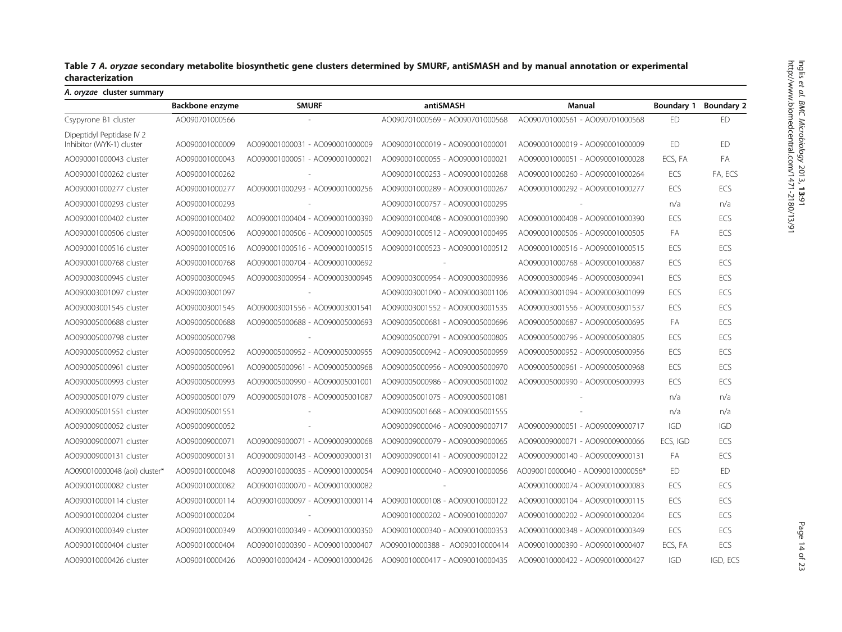# <span id="page-13-0"></span>Table 7 A. oryzae secondary metabolite biosynthetic gene clusters determined by SMURF, antiSMASH and by manual annotation or experimental characterization

A. oryzae cluster summary

|                                                        | Backbone enzyme | <b>SMURF</b>                    | antiSMASH                       | Manual                           | Boundary 1     | <b>Boundary 2</b> |
|--------------------------------------------------------|-----------------|---------------------------------|---------------------------------|----------------------------------|----------------|-------------------|
| Csypyrone B1 cluster                                   | AO090701000566  |                                 | AO090701000569 - AO090701000568 | AO090701000561 - AO090701000568  | ED             | FD.               |
| Dipeptidyl Peptidase IV 2<br>Inhibitor (WYK-1) cluster | AO090001000009  | AO090001000031 - AO090001000009 | AO090001000019 - AO090001000001 | AO090001000019 - AO090001000009  | F <sub>D</sub> | F <sub>D</sub>    |
| AO090001000043 cluster                                 | AO090001000043  | AO090001000051 - AO090001000021 | AO090001000055 - AO090001000021 | AO090001000051 - AO090001000028  | ECS, FA        | FA                |
| AO090001000262 cluster                                 | AO090001000262  |                                 | AO090001000253 - AO090001000268 | AO090001000260 - AO090001000264  | ECS            | FA. ECS           |
| AO090001000277 cluster                                 | AO090001000277  | AO090001000293 - AO090001000256 | AO090001000289 - AO090001000267 | AO090001000292 - AO090001000277  | ECS            | ECS               |
| AO090001000293 cluster                                 | AO090001000293  |                                 | AO090001000757 - AO090001000295 |                                  | n/a            | n/a               |
| AO090001000402 cluster                                 | AO090001000402  | AO090001000404 - AO090001000390 | AO090001000408 - AO090001000390 | AO090001000408 - AO090001000390  | ECS            | ECS               |
| AO090001000506 cluster                                 | AO090001000506  | AO090001000506 - AO090001000505 | AO090001000512 - AO090001000495 | AO090001000506 - AO090001000505  | FA             | ECS               |
| AO090001000516 cluster                                 | AO090001000516  | AO090001000516 - AO090001000515 | AO090001000523 - AO090001000512 | AO090001000516 - AO090001000515  | ECS            | ECS               |
| AO090001000768 cluster                                 | AO090001000768  | AO090001000704 - AO090001000692 |                                 | AO090001000768 - AO090001000687  | ECS            | ECS               |
| AO090003000945 cluster                                 | AO090003000945  | AO090003000954 - AO090003000945 | AO090003000954 - AO090003000936 | AO090003000946 - AO090003000941  | ECS            | ECS               |
| AO090003001097 cluster                                 | AO090003001097  |                                 | AO090003001090 - AO090003001106 | AO090003001094 - AO090003001099  | ECS            | ECS               |
| AO090003001545 cluster                                 | AO090003001545  | AO090003001556 - AO090003001541 | AO090003001552 - AO090003001535 | AO090003001556 - AO090003001537  | ECS            | ECS               |
| AO090005000688 cluster                                 | AO090005000688  | AO090005000688 - AO090005000693 | AO090005000681 - AO090005000696 | AO090005000687 - AO090005000695  | FA             | ECS               |
| AO090005000798 cluster                                 | AO090005000798  |                                 | AO090005000791 - AO090005000805 | AO090005000796 - AO090005000805  | ECS            | ECS               |
| AO090005000952 cluster                                 | AO090005000952  | AO090005000952 - AO090005000955 | AO090005000942 - AO090005000959 | AO090005000952 - AO090005000956  | ECS            | ECS               |
| AO090005000961 cluster                                 | AO090005000961  | AO090005000961 - AO090005000968 | AO090005000956 - AO090005000970 | AO090005000961 - AO090005000968  | ECS            | ECS               |
| AO090005000993 cluster                                 | AO090005000993  | AO090005000990 - AO090005001001 | AO090005000986 - AO090005001002 | AO090005000990 - AO090005000993  | ECS            | ECS               |
| AO090005001079 cluster                                 | AO090005001079  | AO090005001078 - AO090005001087 | AO090005001075 - AO090005001081 |                                  | n/a            | n/a               |
| AO090005001551 cluster                                 | AO090005001551  |                                 | AO090005001668 - AO090005001555 |                                  | n/a            | n/a               |
| AO090009000052 cluster                                 | AO090009000052  |                                 | AO090009000046 - AO090009000717 | AO090009000051 - AO090009000717  | IGD            | IGD               |
| AO090009000071 cluster                                 | AO090009000071  | AO090009000071 - AO090009000068 | AO090009000079 - AO090009000065 | AO090009000071 - AO090009000066  | ECS, IGD       | ECS               |
| AO090009000131 cluster                                 | AO090009000131  | AO090009000143 - AO090009000131 | AO090009000141 - AO090009000122 | AO090009000140 - AO090009000131  | FA             | ECS               |
| AO090010000048 (aoi) cluster*                          | AO090010000048  | AO090010000035 - AO090010000054 | AO090010000040 - AO090010000056 | AO090010000040 - AO090010000056* | ED             | ED                |
| AO090010000082 cluster                                 | AO090010000082  | AO090010000070 - AO090010000082 |                                 | AO090010000074 - AO090010000083  | ECS            | ECS               |
| AO090010000114 cluster                                 | AO090010000114  | AO090010000097 - AO090010000114 | AO090010000108 - AO090010000122 | AO090010000104 - AO090010000115  | ECS            | ECS               |
| AO090010000204 cluster                                 | AO090010000204  |                                 | AO090010000202 - AO090010000207 | AO090010000202 - AO090010000204  | ECS            | ECS               |
| AO090010000349 cluster                                 | AO090010000349  | AO090010000349 - AO090010000350 | AO090010000340 - AO090010000353 | AO090010000348 - AO090010000349  | ECS            | ECS               |
| AO090010000404 cluster                                 | AO090010000404  | AO090010000390 - AO090010000407 | AO090010000388 - AO090010000414 | AO090010000390 - AO090010000407  | ECS, FA        | ECS               |
| AO090010000426 cluster                                 | AO090010000426  | AO090010000424 - AO090010000426 | AO090010000417 - AO090010000435 | AO090010000422 - AO090010000427  | IGD            | IGD, ECS          |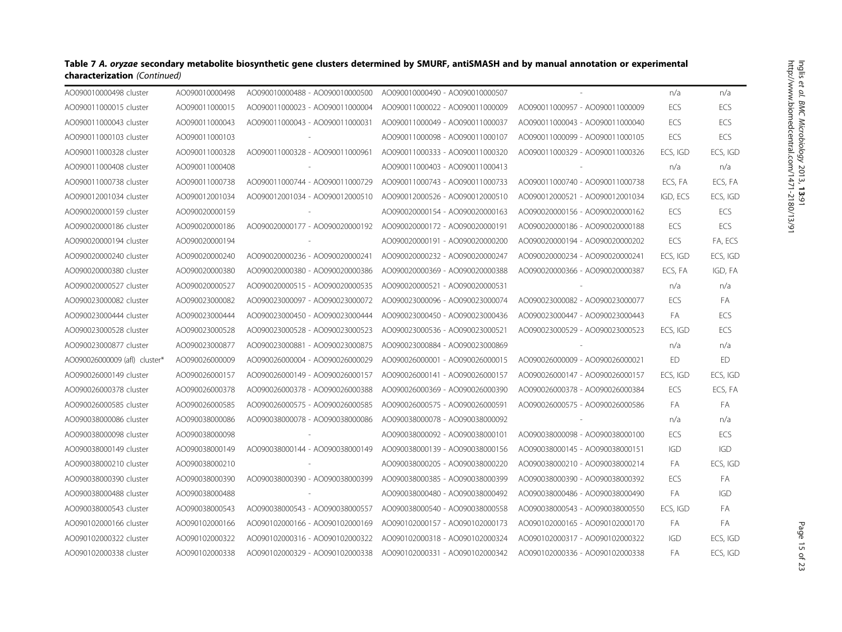| Table 7 A. oryzae secondary metabolite biosynthetic gene clusters determined by SMURF, antiSMASH and by manual annotation or experimental |  |  |  |
|-------------------------------------------------------------------------------------------------------------------------------------------|--|--|--|
| <b>characterization</b> (Continued)                                                                                                       |  |  |  |

| AO090010000498 cluster        | AO090010000498 | AO090010000488 - AO090010000500 | AO090010000490 - AO090010000507 |                                 | n/a        | n/a        |
|-------------------------------|----------------|---------------------------------|---------------------------------|---------------------------------|------------|------------|
| AO090011000015 cluster        | AO090011000015 | AO090011000023 - AO090011000004 | AO090011000022 - AO090011000009 | AO090011000957 - AO090011000009 | ECS        | <b>ECS</b> |
| AO090011000043 cluster        | AO090011000043 | AO090011000043 - AO090011000031 | AO090011000049 - AO090011000037 | AO090011000043 - AO090011000040 | ECS        | <b>FCS</b> |
| AO090011000103 cluster        | AO090011000103 |                                 | AO090011000098 - AO090011000107 | AO090011000099 - AO090011000105 | ECS        | ECS        |
| AO090011000328 cluster        | AO090011000328 | AO090011000328 - AO090011000961 | AO090011000333 - AO090011000320 | AO090011000329 - AO090011000326 | ECS, IGD   | ECS, IGD   |
| AO090011000408 cluster        | AO090011000408 |                                 | AO090011000403 - AO090011000413 |                                 | n/a        | n/a        |
| AO090011000738 cluster        | AO090011000738 | AO090011000744 - AO090011000729 | AO090011000743 - AO090011000733 | AO090011000740 - AO090011000738 | ECS, FA    | ECS, FA    |
| AO090012001034 cluster        | AO090012001034 | AO090012001034 - AO090012000510 | AO090012000526 - AO090012000510 | AO090012000521 - AO090012001034 | IGD, ECS   | ECS, IGD   |
| AO090020000159 cluster        | AO090020000159 |                                 | AO090020000154 - AO090020000163 | AO090020000156 - AO090020000162 | ECS        | <b>FCS</b> |
| AO090020000186 cluster        | AO090020000186 | AO090020000177 - AO090020000192 | AO090020000172 - AO090020000191 | AO090020000186 - AO090020000188 | <b>ECS</b> | <b>ECS</b> |
| AO090020000194 cluster        | AO090020000194 |                                 | AO090020000191 - AO090020000200 | AO090020000194 - AO090020000202 | ECS        | FA, ECS    |
| AO090020000240 cluster        | AO090020000240 | AO090020000236 - AO090020000241 | AO090020000232 - AO090020000247 | AO090020000234 - AO090020000241 | ECS, IGD   | ECS, IGD   |
| AO090020000380 cluster        | AO090020000380 | AO090020000380 - AO090020000386 | AO090020000369 - AO090020000388 | AO090020000366 - AO090020000387 | ECS, FA    | IGD. FA    |
| AO090020000527 cluster        | AO090020000527 | AO090020000515 - AO090020000535 | AO090020000521 - AO090020000531 |                                 | n/a        | n/a        |
| AO090023000082 cluster        | AO090023000082 | AO090023000097 - AO090023000072 | AO090023000096 - AO090023000074 | AO090023000082 - AO090023000077 | <b>ECS</b> | FA         |
| AO090023000444 cluster        | AO090023000444 | AO090023000450 - AO090023000444 | AO090023000450 - AO090023000436 | AO090023000447 - AO090023000443 | FA         | ECS        |
| AO090023000528 cluster        | AO090023000528 | AO090023000528 - AO090023000523 | AO090023000536 - AO090023000521 | AO090023000529 - AO090023000523 | ECS, IGD   | ECS        |
| AO090023000877 cluster        | AO090023000877 | AO090023000881 - AO090023000875 | AO090023000884 - AO090023000869 |                                 | n/a        | n/a        |
| AO090026000009 (afl) cluster* | AO090026000009 | AO090026000004 - AO090026000029 | AO090026000001 - AO090026000015 | AO090026000009 - AO090026000021 | ED         | ED         |
| AO090026000149 cluster        | AO090026000157 | AO090026000149 - AO090026000157 | AO090026000141 - AO090026000157 | AO090026000147 - AO090026000157 | ECS, IGD   | ECS, IGD   |
| AO090026000378 cluster        | AO090026000378 | AO090026000378 - AO090026000388 | AO090026000369 - AO090026000390 | AO090026000378 - AO090026000384 | <b>ECS</b> | ECS, FA    |
| AO090026000585 cluster        | AO090026000585 | AO090026000575 - AO090026000585 | AO090026000575 - AO090026000591 | AO090026000575 - AO090026000586 | FA         | FA         |
| AO090038000086 cluster        | AO090038000086 | AO090038000078 - AO090038000086 | AO090038000078 - AO090038000092 |                                 | n/a        | n/a        |
| AO090038000098 cluster        | AO090038000098 |                                 | AO090038000092 - AO090038000101 | AO090038000098 - AO090038000100 | ECS        | ECS        |
| AO090038000149 cluster        | AO090038000149 | AO090038000144 - AO090038000149 | AO090038000139 - AO090038000156 | AO090038000145 - AO090038000151 | IGD        | IGD        |
| AO090038000210 cluster        | AO090038000210 |                                 | AO090038000205 - AO090038000220 | AO090038000210 - AO090038000214 | FA.        | ECS, IGD   |
| AO090038000390 cluster        | AO090038000390 | AO090038000390 - AO090038000399 | AO090038000385 - AO090038000399 | AO090038000390 - AO090038000392 | ECS        | <b>FA</b>  |
| AO090038000488 cluster        | AO090038000488 |                                 | AO090038000480 - AO090038000492 | AO090038000486 - AO090038000490 | FA         | IGD        |
| AO090038000543 cluster        | AO090038000543 | AO090038000543 - AO090038000557 | AO090038000540 - AO090038000558 | AO090038000543 - AO090038000550 | ECS, IGD   | FA         |
| AO090102000166 cluster        | AO090102000166 | AO090102000166 - AO090102000169 | AO090102000157 - AO090102000173 | AO090102000165 - AO090102000170 | FA         | FA         |
| AO090102000322 cluster        | AO090102000322 | AO090102000316 - AO090102000322 | AO090102000318 - AO090102000324 | AO090102000317 - AO090102000322 | IGD.       | ECS, IGD   |
| AO090102000338 cluster        | AO090102000338 | AO090102000329 - AO090102000338 | AO090102000331 - AO090102000342 | AO090102000336 - AO090102000338 | FA         | ECS, IGD   |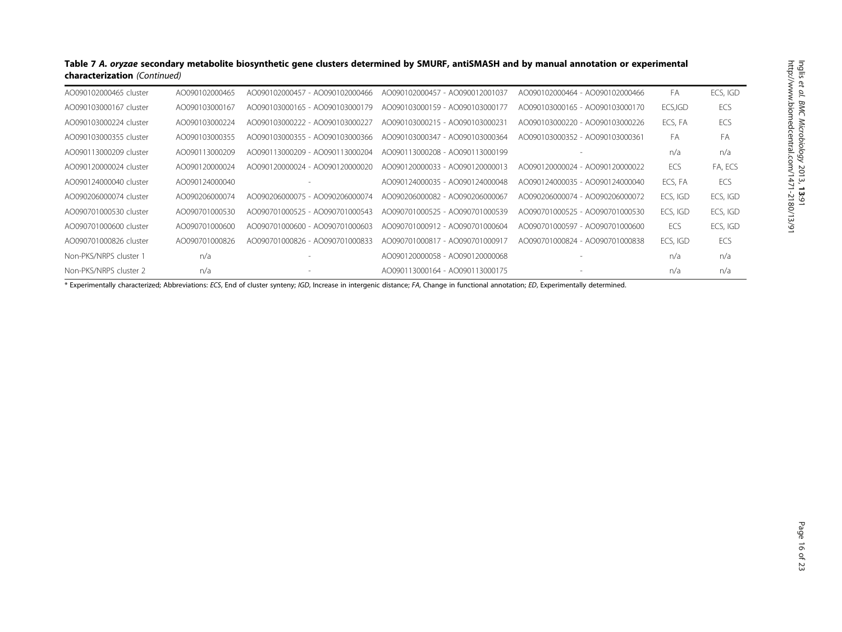| Characterization (Continueu) |                |                                 |                                 |                                 |            |          |
|------------------------------|----------------|---------------------------------|---------------------------------|---------------------------------|------------|----------|
| AO090102000465 cluster       | AO090102000465 | AO090102000457 - AO090102000466 | AO090102000457 - AO090012001037 | AO090102000464 - AO090102000466 | FA         | ECS, IGD |
| AO090103000167 cluster       | AO090103000167 | AO090103000165 - AO090103000179 | AO090103000159 - AO090103000177 | AO090103000165 - AO090103000170 | ECS,IGD    | ECS      |
| AO090103000224 cluster       | AO090103000224 | AO090103000222 - AO090103000227 | AO090103000215 - AO090103000231 | AO090103000220 - AO090103000226 | ECS. FA    | ECS      |
| AO090103000355 cluster       | AO090103000355 | AO090103000355 - AO090103000366 | AO090103000347 - AO090103000364 | AO090103000352 - AO090103000361 | <b>FA</b>  | FA       |
| AO090113000209 cluster       | AO090113000209 | AO090113000209 - AO090113000204 | AO090113000208 - AO090113000199 |                                 | n/a        | n/a      |
| AO090120000024 cluster       | AO090120000024 | AO090120000024 - AO090120000020 | AO090120000033 - AO090120000013 | AO090120000024 - AO090120000022 | ECS        | FA, ECS  |
| AO090124000040 cluster       | AO090124000040 |                                 | AO090124000035 - AO090124000048 | AO090124000035 - AO090124000040 | ECS, FA    | ECS      |
| AO090206000074 cluster       | AO090206000074 | AO090206000075 - AO090206000074 | A0090206000082 - A0090206000067 | AO090206000074 - AO090206000072 | ECS, IGD   | ECS, IGD |
| AO090701000530 cluster       | AO090701000530 | AO090701000525 - AO090701000543 | AO090701000525 - AO090701000539 | AO090701000525 - AO090701000530 | ECS, IGD   | ECS, IGD |
| AO090701000600 cluster       | AO090701000600 | AO090701000600 - AO090701000603 | AO090701000912 - AO090701000604 | AO090701000597 - AO090701000600 | <b>ECS</b> | ECS, IGD |
| AO090701000826 cluster       | AO090701000826 | AO090701000826 - AO090701000833 | AO090701000817 - AO090701000917 | AO090701000824 - AO090701000838 | ECS, IGD   | ECS      |
| Non-PKS/NRPS cluster 1       | n/a            |                                 | AO090120000058 - AO090120000068 | $\overline{\phantom{a}}$        | n/a        | n/a      |
| Non-PKS/NRPS cluster 2       | n/a            | $\sim$                          | AO090113000164 - AO090113000175 | $\overline{\phantom{a}}$        | n/a        | n/a      |

Table 7 A. oryzae secondary metabolite biosynthetic gene clusters determined by SMURF, antiSMASH and by manual annotation or experimental characterization (Continued)

\* Experimentally characterized; Abbreviations: ECS, End of cluster synteny; IGD, Increase in intergenic distance; FA, Change in functional annotation; ED, Experimentally determined.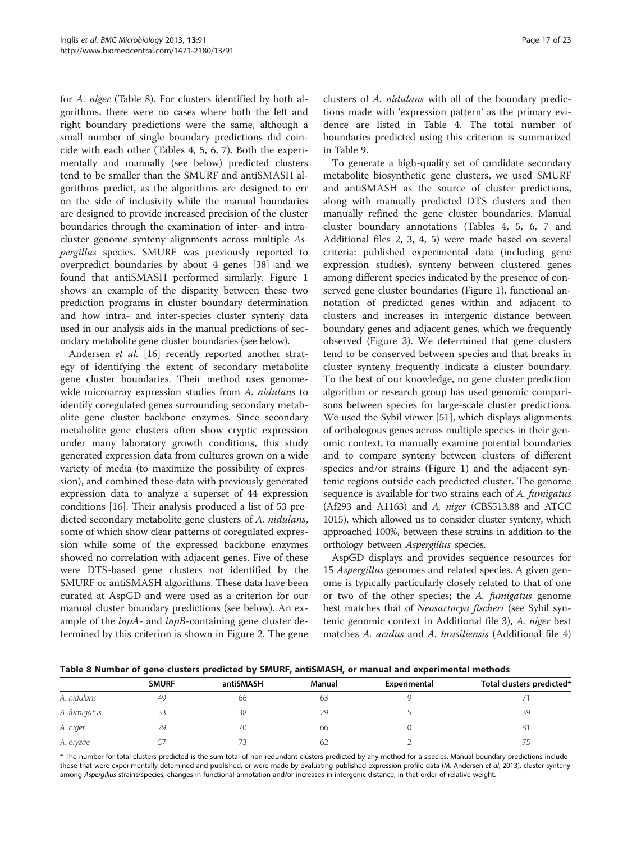for A. niger (Table 8). For clusters identified by both algorithms, there were no cases where both the left and right boundary predictions were the same, although a small number of single boundary predictions did coincide with each other (Tables [4,](#page-5-0) [5](#page-8-0), [6,](#page-10-0) [7\)](#page-13-0). Both the experimentally and manually (see below) predicted clusters tend to be smaller than the SMURF and antiSMASH algorithms predict, as the algorithms are designed to err on the side of inclusivity while the manual boundaries are designed to provide increased precision of the cluster boundaries through the examination of inter- and intracluster genome synteny alignments across multiple Aspergillus species. SMURF was previously reported to overpredict boundaries by about 4 genes [\[38](#page-22-0)] and we found that antiSMASH performed similarly. Figure [1](#page-17-0) shows an example of the disparity between these two prediction programs in cluster boundary determination and how intra- and inter-species cluster synteny data used in our analysis aids in the manual predictions of secondary metabolite gene cluster boundaries (see below).

Andersen et al. [[16](#page-21-0)] recently reported another strategy of identifying the extent of secondary metabolite gene cluster boundaries. Their method uses genomewide microarray expression studies from A. nidulans to identify coregulated genes surrounding secondary metabolite gene cluster backbone enzymes. Since secondary metabolite gene clusters often show cryptic expression under many laboratory growth conditions, this study generated expression data from cultures grown on a wide variety of media (to maximize the possibility of expression), and combined these data with previously generated expression data to analyze a superset of 44 expression conditions [[16\]](#page-21-0). Their analysis produced a list of 53 predicted secondary metabolite gene clusters of A. nidulans, some of which show clear patterns of coregulated expression while some of the expressed backbone enzymes showed no correlation with adjacent genes. Five of these were DTS-based gene clusters not identified by the SMURF or antiSMASH algorithms. These data have been curated at AspGD and were used as a criterion for our manual cluster boundary predictions (see below). An example of the *inpA-* and *inpB-containing gene cluster de*termined by this criterion is shown in Figure [2.](#page-17-0) The gene

clusters of A. nidulans with all of the boundary predictions made with 'expression pattern' as the primary evidence are listed in Table [4](#page-5-0). The total number of boundaries predicted using this criterion is summarized in Table [9](#page-18-0).

To generate a high-quality set of candidate secondary metabolite biosynthetic gene clusters, we used SMURF and antiSMASH as the source of cluster predictions, along with manually predicted DTS clusters and then manually refined the gene cluster boundaries. Manual cluster boundary annotations (Tables [4,](#page-5-0) [5,](#page-8-0) [6](#page-10-0), [7](#page-13-0) and Additional files [2](#page-21-0), [3, 4, 5](#page-21-0)) were made based on several criteria: published experimental data (including gene expression studies), synteny between clustered genes among different species indicated by the presence of conserved gene cluster boundaries (Figure [1](#page-17-0)), functional annotation of predicted genes within and adjacent to clusters and increases in intergenic distance between boundary genes and adjacent genes, which we frequently observed (Figure [3\)](#page-18-0). We determined that gene clusters tend to be conserved between species and that breaks in cluster synteny frequently indicate a cluster boundary. To the best of our knowledge, no gene cluster prediction algorithm or research group has used genomic comparisons between species for large-scale cluster predictions. We used the Sybil viewer [[51\]](#page-22-0), which displays alignments of orthologous genes across multiple species in their genomic context, to manually examine potential boundaries and to compare synteny between clusters of different species and/or strains (Figure [1\)](#page-17-0) and the adjacent syntenic regions outside each predicted cluster. The genome sequence is available for two strains each of A. fumigatus (Af293 and A1163) and A. niger (CBS513.88 and ATCC 1015), which allowed us to consider cluster synteny, which approached 100%, between these strains in addition to the orthology between Aspergillus species.

AspGD displays and provides sequence resources for 15 Aspergillus genomes and related species. A given genome is typically particularly closely related to that of one or two of the other species; the A. fumigatus genome best matches that of Neosartorya fischeri (see Sybil syntenic genomic context in Additional file [3](#page-21-0)), A. niger best matches A. acidus and A. brasiliensis (Additional file [4](#page-21-0))

Table 8 Number of gene clusters predicted by SMURF, antiSMASH, or manual and experimental methods

|              | <b>SMURF</b> | antiSMASH | Manual | Experimental | Total clusters predicted* |
|--------------|--------------|-----------|--------|--------------|---------------------------|
| A. nidulans  | 49           | 66        | 63     |              |                           |
| A. fumigatus |              | 38        | 29     |              | 39                        |
| A. niger     | 79           | 70        | 66     |              | 81                        |
| A. oryzae    |              |           | 62     |              |                           |

\* The number for total clusters predicted is the sum total of non-redundant clusters predicted by any method for a species. Manual boundary predictions include those that were experimentally detemined and published, or were made by evaluating published expression profile data (M. Andersen et al, 2013), cluster synteny among Aspergillus strains/species, changes in functional annotation and/or increases in intergenic distance, in that order of relative weight.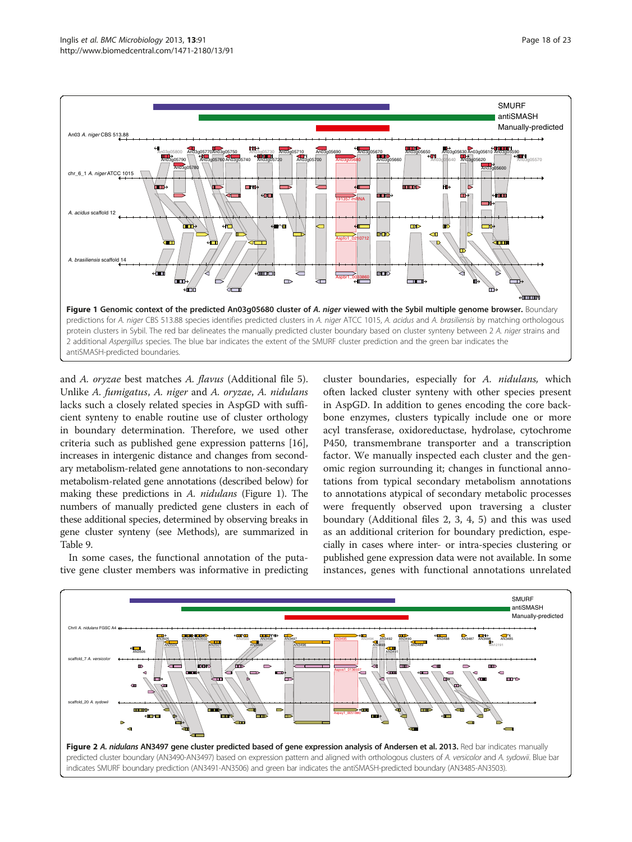<span id="page-17-0"></span>

and A. oryzae best matches A. flavus (Additional file [5](#page-21-0)). Unlike A. fumigatus, A. niger and A. oryzae, A. nidulans lacks such a closely related species in AspGD with sufficient synteny to enable routine use of cluster orthology in boundary determination. Therefore, we used other criteria such as published gene expression patterns [\[16](#page-21-0)], increases in intergenic distance and changes from secondary metabolism-related gene annotations to non-secondary metabolism-related gene annotations (described below) for making these predictions in A. nidulans (Figure 1). The numbers of manually predicted gene clusters in each of these additional species, determined by observing breaks in gene cluster synteny (see [Methods\)](#page-19-0), are summarized in Table [9](#page-18-0).

In some cases, the functional annotation of the putative gene cluster members was informative in predicting cluster boundaries, especially for A. nidulans, which often lacked cluster synteny with other species present in AspGD. In addition to genes encoding the core backbone enzymes, clusters typically include one or more acyl transferase, oxidoreductase, hydrolase, cytochrome P450, transmembrane transporter and a transcription factor. We manually inspected each cluster and the genomic region surrounding it; changes in functional annotations from typical secondary metabolism annotations to annotations atypical of secondary metabolic processes were frequently observed upon traversing a cluster boundary (Additional files [2, 3, 4, 5\)](#page-21-0) and this was used as an additional criterion for boundary prediction, especially in cases where inter- or intra-species clustering or published gene expression data were not available. In some instances, genes with functional annotations unrelated

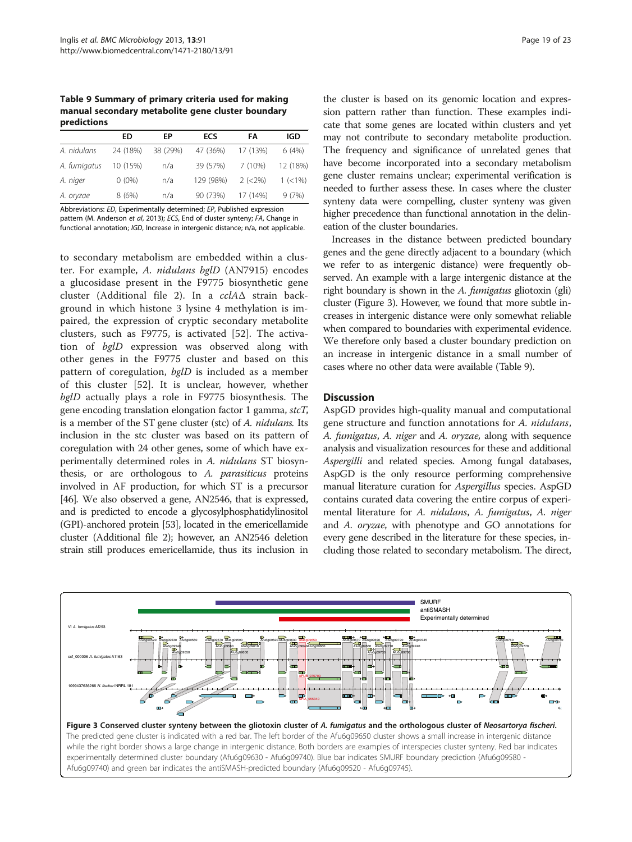<span id="page-18-0"></span>Table 9 Summary of primary criteria used for making manual secondary metabolite gene cluster boundary predictions

|              | ED       | ЕP       | <b>ECS</b> | FA          | IGD         |
|--------------|----------|----------|------------|-------------|-------------|
| A. nidulans  | 24 (18%) | 38 (29%) | 47 (36%)   | 17 (13%)    | 6(4%)       |
| A. fumigatus | 10 (15%) | n/a      | 39 (57%)   | 7(10%)      | 12 (18%)    |
| A. niger     | $0(0\%)$ | n/a      | 129 (98%)  | $2 (< 2\%)$ | $1 (< 1\%)$ |
| A. oryzae    | 8(6%)    | n/a      | 90 (73%)   | 17 (14%)    | 9(7%)       |

Abbreviations: ED, Experimentally determined; EP, Published expression pattern (M. Anderson et al, 2013); ECS, End of cluster synteny; FA, Change in functional annotation; IGD, Increase in intergenic distance; n/a, not applicable.

to secondary metabolism are embedded within a cluster. For example, A. nidulans bglD (AN7915) encodes a glucosidase present in the F9775 biosynthetic gene cluster (Additional file [2](#page-21-0)). In a cclAΔ strain background in which histone 3 lysine 4 methylation is impaired, the expression of cryptic secondary metabolite clusters, such as F9775, is activated [\[52\]](#page-22-0). The activation of bglD expression was observed along with other genes in the F9775 cluster and based on this pattern of coregulation, bglD is included as a member of this cluster [\[52](#page-22-0)]. It is unclear, however, whether bglD actually plays a role in F9775 biosynthesis. The gene encoding translation elongation factor 1 gamma, stcT, is a member of the ST gene cluster (stc) of A. nidulans. Its inclusion in the stc cluster was based on its pattern of coregulation with 24 other genes, some of which have experimentally determined roles in A. nidulans ST biosynthesis, or are orthologous to A. parasiticus proteins involved in AF production, for which ST is a precursor [[46](#page-22-0)]. We also observed a gene, AN2546, that is expressed, and is predicted to encode a glycosylphosphatidylinositol (GPI)-anchored protein [\[53](#page-22-0)], located in the emericellamide cluster (Additional file [2](#page-21-0)); however, an AN2546 deletion strain still produces emericellamide, thus its inclusion in

the cluster is based on its genomic location and expression pattern rather than function. These examples indicate that some genes are located within clusters and yet may not contribute to secondary metabolite production. The frequency and significance of unrelated genes that have become incorporated into a secondary metabolism gene cluster remains unclear; experimental verification is needed to further assess these. In cases where the cluster synteny data were compelling, cluster synteny was given higher precedence than functional annotation in the delineation of the cluster boundaries.

Increases in the distance between predicted boundary genes and the gene directly adjacent to a boundary (which we refer to as intergenic distance) were frequently observed. An example with a large intergenic distance at the right boundary is shown in the A. fumigatus gliotoxin (gli) cluster (Figure 3). However, we found that more subtle increases in intergenic distance were only somewhat reliable when compared to boundaries with experimental evidence. We therefore only based a cluster boundary prediction on an increase in intergenic distance in a small number of cases where no other data were available (Table 9).

#### **Discussion**

AspGD provides high-quality manual and computational gene structure and function annotations for A. nidulans, A. fumigatus, A. niger and A. oryzae, along with sequence analysis and visualization resources for these and additional Aspergilli and related species. Among fungal databases, AspGD is the only resource performing comprehensive manual literature curation for Aspergillus species. AspGD contains curated data covering the entire corpus of experimental literature for A. nidulans, A. fumigatus, A. niger and A. oryzae, with phenotype and GO annotations for every gene described in the literature for these species, including those related to secondary metabolism. The direct,

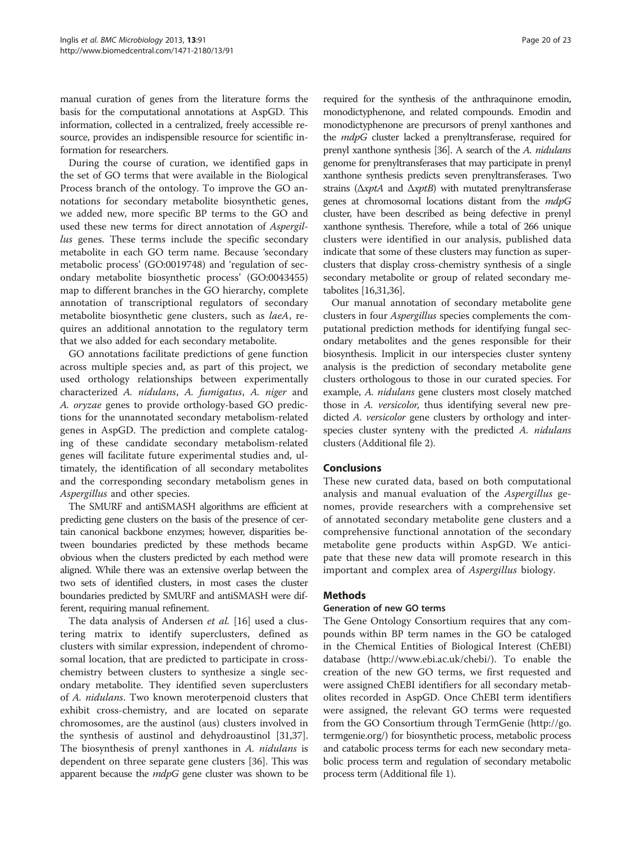<span id="page-19-0"></span>manual curation of genes from the literature forms the basis for the computational annotations at AspGD. This information, collected in a centralized, freely accessible resource, provides an indispensible resource for scientific information for researchers.

During the course of curation, we identified gaps in the set of GO terms that were available in the Biological Process branch of the ontology. To improve the GO annotations for secondary metabolite biosynthetic genes, we added new, more specific BP terms to the GO and used these new terms for direct annotation of Aspergillus genes. These terms include the specific secondary metabolite in each GO term name. Because 'secondary metabolic process' (GO:0019748) and 'regulation of secondary metabolite biosynthetic process' (GO:0043455) map to different branches in the GO hierarchy, complete annotation of transcriptional regulators of secondary metabolite biosynthetic gene clusters, such as laeA, requires an additional annotation to the regulatory term that we also added for each secondary metabolite.

GO annotations facilitate predictions of gene function across multiple species and, as part of this project, we used orthology relationships between experimentally characterized A. nidulans, A. fumigatus, A. niger and A. oryzae genes to provide orthology-based GO predictions for the unannotated secondary metabolism-related genes in AspGD. The prediction and complete cataloging of these candidate secondary metabolism-related genes will facilitate future experimental studies and, ultimately, the identification of all secondary metabolites and the corresponding secondary metabolism genes in Aspergillus and other species.

The SMURF and antiSMASH algorithms are efficient at predicting gene clusters on the basis of the presence of certain canonical backbone enzymes; however, disparities between boundaries predicted by these methods became obvious when the clusters predicted by each method were aligned. While there was an extensive overlap between the two sets of identified clusters, in most cases the cluster boundaries predicted by SMURF and antiSMASH were different, requiring manual refinement.

The data analysis of Andersen et al. [\[16](#page-21-0)] used a clustering matrix to identify superclusters, defined as clusters with similar expression, independent of chromosomal location, that are predicted to participate in crosschemistry between clusters to synthesize a single secondary metabolite. They identified seven superclusters of A. nidulans. Two known meroterpenoid clusters that exhibit cross-chemistry, and are located on separate chromosomes, are the austinol (aus) clusters involved in the synthesis of austinol and dehydroaustinol [\[31,37](#page-22-0)]. The biosynthesis of prenyl xanthones in A. *nidulans* is dependent on three separate gene clusters [\[36](#page-22-0)]. This was apparent because the *mdpG* gene cluster was shown to be

required for the synthesis of the anthraquinone emodin, monodictyphenone, and related compounds. Emodin and monodictyphenone are precursors of prenyl xanthones and the *mdpG* cluster lacked a prenyltransferase, required for prenyl xanthone synthesis [\[36](#page-22-0)]. A search of the A. nidulans genome for prenyltransferases that may participate in prenyl xanthone synthesis predicts seven prenyltransferases. Two strains ( $\triangle xptA$  and  $\triangle xptB$ ) with mutated prenyltransferase genes at chromosomal locations distant from the  $mdpG$ cluster, have been described as being defective in prenyl xanthone synthesis. Therefore, while a total of 266 unique clusters were identified in our analysis, published data indicate that some of these clusters may function as superclusters that display cross-chemistry synthesis of a single secondary metabolite or group of related secondary metabolites [[16](#page-21-0)[,31,36](#page-22-0)].

Our manual annotation of secondary metabolite gene clusters in four Aspergillus species complements the computational prediction methods for identifying fungal secondary metabolites and the genes responsible for their biosynthesis. Implicit in our interspecies cluster synteny analysis is the prediction of secondary metabolite gene clusters orthologous to those in our curated species. For example, A. nidulans gene clusters most closely matched those in A. versicolor, thus identifying several new predicted A. versicolor gene clusters by orthology and interspecies cluster synteny with the predicted A. nidulans clusters (Additional file [2](#page-21-0)).

### Conclusions

These new curated data, based on both computational analysis and manual evaluation of the Aspergillus genomes, provide researchers with a comprehensive set of annotated secondary metabolite gene clusters and a comprehensive functional annotation of the secondary metabolite gene products within AspGD. We anticipate that these new data will promote research in this important and complex area of Aspergillus biology.

### Methods

#### Generation of new GO terms

The Gene Ontology Consortium requires that any compounds within BP term names in the GO be cataloged in the Chemical Entities of Biological Interest (ChEBI) database [\(http://www.ebi.ac.uk/chebi/\)](http://www.ebi.ac.uk/chebi/). To enable the creation of the new GO terms, we first requested and were assigned ChEBI identifiers for all secondary metabolites recorded in AspGD. Once ChEBI term identifiers were assigned, the relevant GO terms were requested from the GO Consortium through TermGenie [\(http://go.](http://go.termgenie.org/) [termgenie.org/\)](http://go.termgenie.org/) for biosynthetic process, metabolic process and catabolic process terms for each new secondary metabolic process term and regulation of secondary metabolic process term (Additional file [1\)](#page-21-0).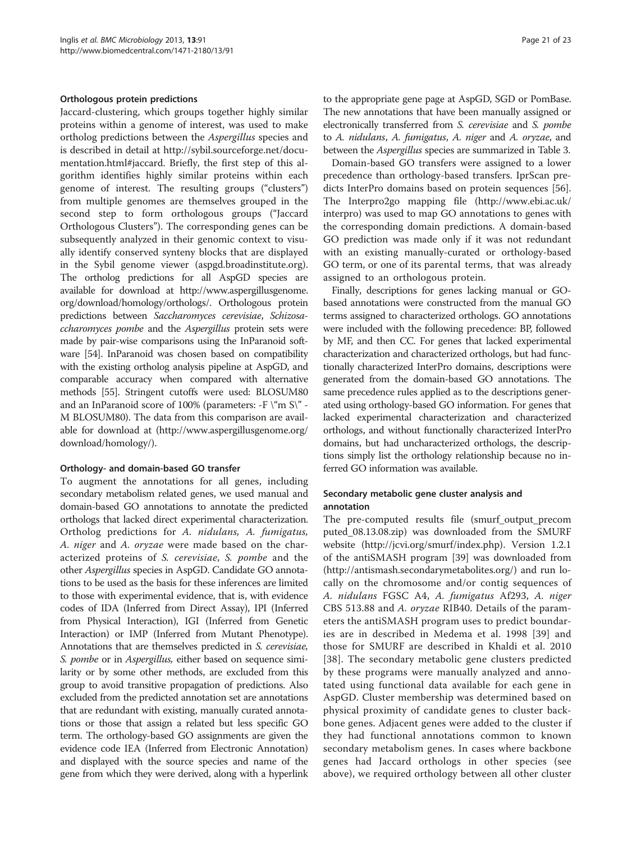#### Orthologous protein predictions

Jaccard-clustering, which groups together highly similar proteins within a genome of interest, was used to make ortholog predictions between the Aspergillus species and is described in detail at [http://sybil.sourceforge.net/docu](http://sybil.sourceforge.net/documentation.html#jaccard)[mentation.html#jaccard.](http://sybil.sourceforge.net/documentation.html#jaccard) Briefly, the first step of this algorithm identifies highly similar proteins within each genome of interest. The resulting groups ("clusters") from multiple genomes are themselves grouped in the second step to form orthologous groups ("Jaccard Orthologous Clusters"). The corresponding genes can be subsequently analyzed in their genomic context to visually identify conserved synteny blocks that are displayed in the Sybil genome viewer (aspgd.broadinstitute.org). The ortholog predictions for all AspGD species are available for download at [http://www.aspergillusgenome.](http://www.aspergillusgenome.org/download/homology/orthologs/) [org/download/homology/orthologs/](http://www.aspergillusgenome.org/download/homology/orthologs/). Orthologous protein predictions between Saccharomyces cerevisiae, Schizosaccharomyces pombe and the Aspergillus protein sets were made by pair-wise comparisons using the InParanoid software [\[54\]](#page-22-0). InParanoid was chosen based on compatibility with the existing ortholog analysis pipeline at AspGD, and comparable accuracy when compared with alternative methods [[55](#page-22-0)]. Stringent cutoffs were used: BLOSUM80 and an InParanoid score of 100% (parameters:  $-F \$ "m S\" -M BLOSUM80). The data from this comparison are available for download at [\(http://www.aspergillusgenome.org/](http://www.aspergillusgenome.org/download/homology/) [download/homology/\)](http://www.aspergillusgenome.org/download/homology/).

#### Orthology- and domain-based GO transfer

To augment the annotations for all genes, including secondary metabolism related genes, we used manual and domain-based GO annotations to annotate the predicted orthologs that lacked direct experimental characterization. Ortholog predictions for A. nidulans, A. fumigatus, A. niger and A. oryzae were made based on the characterized proteins of S. cerevisiae, S. pombe and the other Aspergillus species in AspGD. Candidate GO annotations to be used as the basis for these inferences are limited to those with experimental evidence, that is, with evidence codes of IDA (Inferred from Direct Assay), IPI (Inferred from Physical Interaction), IGI (Inferred from Genetic Interaction) or IMP (Inferred from Mutant Phenotype). Annotations that are themselves predicted in S. cerevisiae, S. *pombe* or in *Aspergillus*, either based on sequence similarity or by some other methods, are excluded from this group to avoid transitive propagation of predictions. Also excluded from the predicted annotation set are annotations that are redundant with existing, manually curated annotations or those that assign a related but less specific GO term. The orthology-based GO assignments are given the evidence code IEA (Inferred from Electronic Annotation) and displayed with the source species and name of the gene from which they were derived, along with a hyperlink to the appropriate gene page at AspGD, SGD or PomBase. The new annotations that have been manually assigned or electronically transferred from S. cerevisiae and S. pombe to A. nidulans, A. fumigatus, A. niger and A. oryzae, and between the Aspergillus species are summarized in Table [3.](#page-4-0)

Domain-based GO transfers were assigned to a lower precedence than orthology-based transfers. IprScan predicts InterPro domains based on protein sequences [\[56](#page-22-0)]. The Interpro2go mapping file ([http://www.ebi.ac.uk/](http://www.ebi.ac.uk/interpro) [interpro\)](http://www.ebi.ac.uk/interpro) was used to map GO annotations to genes with the corresponding domain predictions. A domain-based GO prediction was made only if it was not redundant with an existing manually-curated or orthology-based GO term, or one of its parental terms, that was already assigned to an orthologous protein.

Finally, descriptions for genes lacking manual or GObased annotations were constructed from the manual GO terms assigned to characterized orthologs. GO annotations were included with the following precedence: BP, followed by MF, and then CC. For genes that lacked experimental characterization and characterized orthologs, but had functionally characterized InterPro domains, descriptions were generated from the domain-based GO annotations. The same precedence rules applied as to the descriptions generated using orthology-based GO information. For genes that lacked experimental characterization and characterized orthologs, and without functionally characterized InterPro domains, but had uncharacterized orthologs, the descriptions simply list the orthology relationship because no inferred GO information was available.

# Secondary metabolic gene cluster analysis and annotation

The pre-computed results file (smurf\_output\_precom puted\_08.13.08.zip) was downloaded from the SMURF website (<http://jcvi.org/smurf/index.php>). Version 1.2.1 of the antiSMASH program [\[39\]](#page-22-0) was downloaded from (<http://antismash.secondarymetabolites.org/>) and run locally on the chromosome and/or contig sequences of A. nidulans FGSC A4, A. fumigatus Af293, A. niger CBS 513.88 and A. oryzae RIB40. Details of the parameters the antiSMASH program uses to predict boundaries are in described in Medema et al. 1998 [[39](#page-22-0)] and those for SMURF are described in Khaldi et al. 2010 [[38](#page-22-0)]. The secondary metabolic gene clusters predicted by these programs were manually analyzed and annotated using functional data available for each gene in AspGD. Cluster membership was determined based on physical proximity of candidate genes to cluster backbone genes. Adjacent genes were added to the cluster if they had functional annotations common to known secondary metabolism genes. In cases where backbone genes had Jaccard orthologs in other species (see above), we required orthology between all other cluster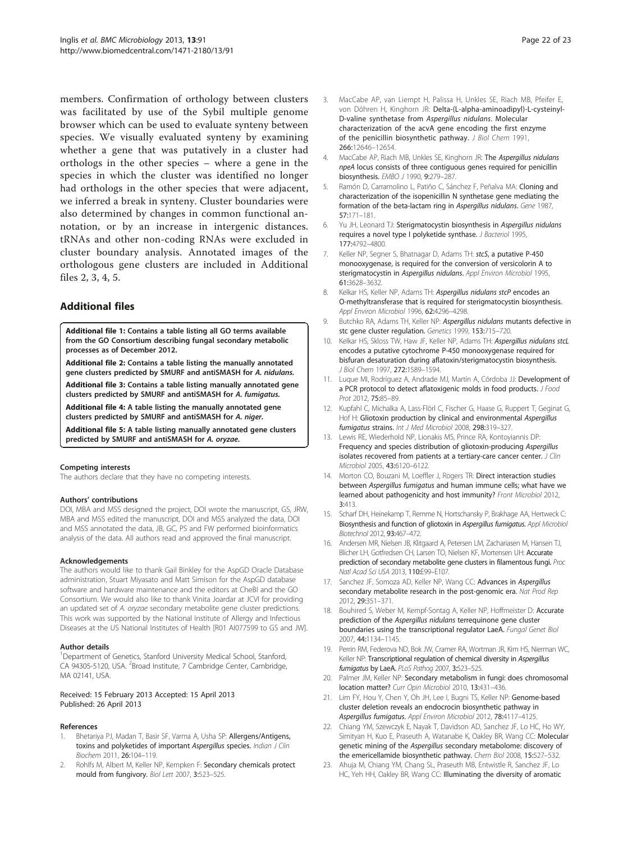<span id="page-21-0"></span>members. Confirmation of orthology between clusters was facilitated by use of the Sybil multiple genome browser which can be used to evaluate synteny between species. We visually evaluated synteny by examining whether a gene that was putatively in a cluster had orthologs in the other species – where a gene in the species in which the cluster was identified no longer had orthologs in the other species that were adjacent, we inferred a break in synteny. Cluster boundaries were also determined by changes in common functional annotation, or by an increase in intergenic distances. tRNAs and other non-coding RNAs were excluded in cluster boundary analysis. Annotated images of the orthologous gene clusters are included in Additional files 2, 3, 4, 5.

# Additional files

[Additional file 1:](http://www.biomedcentral.com/content/supplementary/1471-2180-13-91-S1.doc) Contains a table listing all GO terms available from the GO Consortium describing fungal secondary metabolic processes as of December 2012.

[Additional file 2:](http://www.biomedcentral.com/content/supplementary/1471-2180-13-91-S2.pdf) Contains a table listing the manually annotated gene clusters predicted by SMURF and antiSMASH for A. nidulans.

[Additional file 3:](http://www.biomedcentral.com/content/supplementary/1471-2180-13-91-S3.pdf) Contains a table listing manually annotated gene clusters predicted by SMURF and antiSMASH for A. fumigatus.

[Additional file 4:](http://www.biomedcentral.com/content/supplementary/1471-2180-13-91-S4.pdf) A table listing the manually annotated gene clusters predicted by SMURF and antiSMASH for A. niger.

[Additional file 5:](http://www.biomedcentral.com/content/supplementary/1471-2180-13-91-S5.pdf) A table listing manually annotated gene clusters predicted by SMURF and antiSMASH for A. oryzae.

#### Competing interests

The authors declare that they have no competing interests.

#### Authors' contributions

DOI, MBA and MSS designed the project, DOI wrote the manuscript, GS, JRW, MBA and MSS edited the manuscript, DOI and MSS analyzed the data, DOI and MSS annotated the data, JB, GC, PS and FW performed bioinformatics analysis of the data. All authors read and approved the final manuscript.

#### Acknowledgements

The authors would like to thank Gail Binkley for the AspGD Oracle Database administration, Stuart Miyasato and Matt Simison for the AspGD database software and hardware maintenance and the editors at CheBI and the GO Consortium. We would also like to thank Vinita Joardar at JCVI for providing an updated set of A. oryzae secondary metabolite gene cluster predictions. This work was supported by the National Institute of Allergy and Infectious Diseases at the US National Institutes of Health [R01 AI077599 to GS and JW].

#### Author details

<sup>1</sup>Department of Genetics, Stanford University Medical School, Stanford, CA 94305-5120, USA. <sup>2</sup>Broad Institute, 7 Cambridge Center, Cambridge, MA 02141, USA.

#### Received: 15 February 2013 Accepted: 15 April 2013 Published: 26 April 2013

#### References

- 1. Bhetariya PJ, Madan T, Basir SF, Varma A, Usha SP: Allergens/Antigens, toxins and polyketides of important Aspergillus species. Indian J Clin Biochem 2011, 26:104–119.
- 2. Rohlfs M, Albert M, Keller NP, Kempken F: Secondary chemicals protect mould from fungivory. Biol Lett 2007, 3:523–525.
- 3. MacCabe AP, van Liempt H, Palissa H, Unkles SE, Riach MB, Pfeifer E, von Döhren H, Kinghorn JR: Delta-(L-alpha-aminoadipyl)-L-cysteinyl-D-valine synthetase from Aspergillus nidulans. Molecular characterization of the acvA gene encoding the first enzyme of the penicillin biosynthetic pathway. J Biol Chem 1991, 266:12646–12654.
- 4. MacCabe AP, Riach MB, Unkles SE, Kinghorn JR: The Aspergillus nidulans npeA locus consists of three contiguous genes required for penicillin biosynthesis. EMBO J 1990, 9:279–287.
- 5. Ramón D, Carramolino L, Patiño C, Sánchez F, Peñalva MA: Cloning and characterization of the isopenicillin N synthetase gene mediating the formation of the beta-lactam ring in Aspergillus nidulans. Gene 1987, 57:171–181.
- 6. Yu JH, Leonard TJ: Sterigmatocystin biosynthesis in Aspergillus nidulans requires a novel type I polyketide synthase. J Bacteriol 1995, 177:4792–4800.
- 7. Keller NP, Segner S, Bhatnagar D, Adams TH: stcS, a putative P-450 monooxygenase, is required for the conversion of versicolorin A to sterigmatocystin in Aspergillus nidulans. Appl Environ Microbiol 1995, 61:3628–3632.
- 8. Kelkar HS, Keller NP, Adams TH: Aspergillus nidulans stcP encodes an O-methyltransferase that is required for sterigmatocystin biosynthesis. Appl Environ Microbiol 1996, 62:4296–4298.
- 9. Butchko RA, Adams TH, Keller NP: Aspergillus nidulans mutants defective in stc gene cluster regulation. Genetics 1999, 153:715–720.
- 10. Kelkar HS, Skloss TW, Haw JF, Keller NP, Adams TH: Aspergillus nidulans stcL encodes a putative cytochrome P-450 monooxygenase required for bisfuran desaturation during aflatoxin/sterigmatocystin biosynthesis. J Biol Chem 1997, 272:1589–1594.
- 11. Luque MI, Rodríguez A, Andrade MJ, Martín A, Córdoba JJ: Development of a PCR protocol to detect aflatoxigenic molds in food products. J Food Prot 2012, 75:85–89.
- 12. Kupfahl C, Michalka A, Lass-Flörl C, Fischer G, Haase G, Ruppert T, Geginat G, Hof H: Gliotoxin production by clinical and environmental Aspergillus fumigatus strains. Int J Med Microbiol 2008, 298:319–327.
- 13. Lewis RE, Wiederhold NP, Lionakis MS, Prince RA, Kontoyiannis DP: Frequency and species distribution of gliotoxin-producing Aspergillus isolates recovered from patients at a tertiary-care cancer center. J Clin Microbiol 2005, 43:6120–6122.
- 14. Morton CO, Bouzani M, Loeffler J, Rogers TR: Direct interaction studies between Aspergillus fumigatus and human immune cells; what have we learned about pathogenicity and host immunity? Front Microbiol 2012, 3:413.
- 15. Scharf DH, Heinekamp T, Remme N, Hortschansky P, Brakhage AA, Hertweck C: Biosynthesis and function of gliotoxin in Aspergillus fumigatus. Appl Microbiol Biotechnol 2012, 93:467–472.
- 16. Andersen MR, Nielsen JB, Klitgaard A, Petersen LM, Zachariasen M, Hansen TJ, Blicher LH, Gotfredsen CH, Larsen TO, Nielsen KF, Mortensen UH: Accurate prediction of secondary metabolite gene clusters in filamentous fungi. Proc Natl Acad Sci USA 2013, 110:E99-E107
- 17. Sanchez JF, Somoza AD, Keller NP, Wang CC: Advances in Aspergillus secondary metabolite research in the post-genomic era. Nat Prod Rep 2012, 29:351–371.
- 18. Bouhired S, Weber M, Kempf-Sontag A, Keller NP, Hoffmeister D: Accurate prediction of the Aspergillus nidulans terrequinone gene cluster boundaries using the transcriptional regulator LaeA. Fungal Genet Biol 2007, 44:1134–1145.
- 19. Perrin RM, Federova ND, Bok JW, Cramer RA, Wortman JR, Kim HS, Nierman WC, Keller NP: Transcriptional regulation of chemical diversity in Aspergillus fumigatus by LaeA. PLoS Pathog 2007, 3:523–525.
- 20. Palmer JM, Keller NP: Secondary metabolism in fungi: does chromosomal location matter? Curr Opin Microbiol 2010, 13:431–436.
- 21. Lim FY, Hou Y, Chen Y, Oh JH, Lee I, Bugni TS, Keller NP: Genome-based cluster deletion reveals an endocrocin biosynthetic pathway in Aspergillus fumigatus. Appl Environ Microbiol 2012, 78:4117–4125.
- 22. Chiang YM, Szewczyk E, Nayak T, Davidson AD, Sanchez JF, Lo HC, Ho WY, Simityan H, Kuo E, Praseuth A, Watanabe K, Oakley BR, Wang CC: Molecular genetic mining of the Aspergillus secondary metabolome: discovery of the emericellamide biosynthetic pathway. Chem Biol 2008, 15:527–532.
- 23. Ahuja M, Chiang YM, Chang SL, Praseuth MB, Entwistle R, Sanchez JF, Lo HC, Yeh HH, Oakley BR, Wang CC: Illuminating the diversity of aromatic